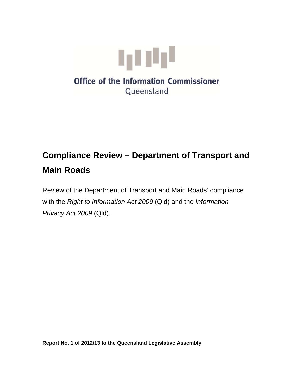

# **Compliance Review – Department of Transport and Main Roads**

Review of the Department of Transport and Main Roads' compliance with the *Right to Information Act 2009* (Qld) and the *Information Privacy Act 2009* (Qld).

**Report No. 1 of 2012/13 to the Queensland Legislative Assembly**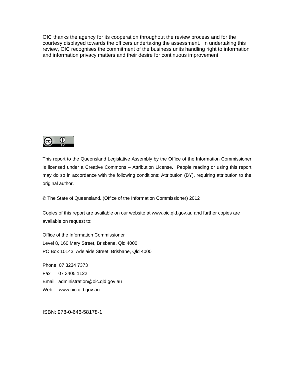OIC thanks the agency for its cooperation throughout the review process and for the courtesy displayed towards the officers undertaking the assessment. In undertaking this review, OIC recognises the commitment of the business units handling right to information and information privacy matters and their desire for continuous improvement.



This report to the Queensland Legislative Assembly by the Office of the Information Commissioner is licensed under a Creative Commons – Attribution License. People reading or using this report may do so in accordance with the following conditions: Attribution (BY), requiring attribution to the original author.

© The State of Queensland. (Office of the Information Commissioner) 2012

Copies of this report are available on our website at www.oic.qld.gov.au and further copies are available on request to:

Office of the Information Commissioner Level 8, 160 Mary Street, Brisbane, Qld 4000 PO Box 10143, Adelaide Street, Brisbane, Qld 4000

Phone 07 3234 7373 Fax 07 3405 1122 Email administration@oic.qld.gov.au Web www.oic.gld.gov.au

ISBN: 978-0-646-58178-1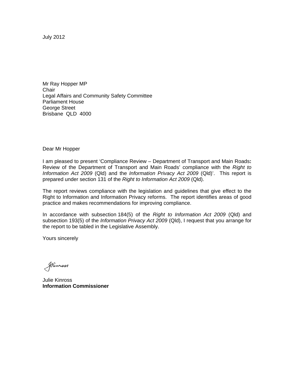July 2012

Mr Ray Hopper MP **Chair** Legal Affairs and Community Safety Committee Parliament House George Street Brisbane QLD 4000

Dear Mr Hopper

I am pleased to present 'Compliance Review – Department of Transport and Main Roads**:**  Review of the Department of Transport and Main Roads' compliance with the *Right to Information Act 2009* (Qld) and the *Information Privacy Act 2009* (Qld)'. This report is prepared under section 131 of the *Right to Information Act 2009* (Qld).

The report reviews compliance with the legislation and guidelines that give effect to the Right to Information and Information Privacy reforms. The report identifies areas of good practice and makes recommendations for improving compliance.

In accordance with subsection 184(5) of the *Right to Information Act 2009* (Qld) and subsection 193(5) of the *Information Privacy Act 2009* (Qld), I request that you arrange for the report to be tabled in the Legislative Assembly.

Yours sincerely

Skinnass

Julie Kinross **Information Commissioner**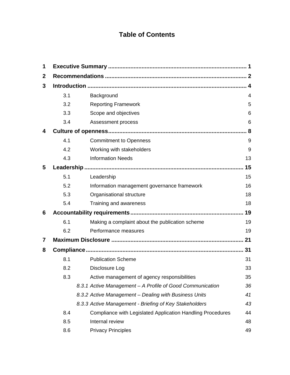## **Table of Contents**

| 1            |     |                                                            |    |
|--------------|-----|------------------------------------------------------------|----|
| $\mathbf{2}$ |     |                                                            |    |
| 3            |     |                                                            |    |
|              | 3.1 | Background                                                 | 4  |
|              | 3.2 | <b>Reporting Framework</b>                                 | 5  |
|              | 3.3 | Scope and objectives                                       | 6  |
|              | 3.4 | Assessment process                                         | 6  |
| 4            |     |                                                            |    |
|              | 4.1 | <b>Commitment to Openness</b>                              | 9  |
|              | 4.2 | Working with stakeholders                                  | 9  |
|              | 4.3 | <b>Information Needs</b>                                   | 13 |
| 5            |     |                                                            | 15 |
|              | 5.1 | Leadership                                                 | 15 |
|              | 5.2 | Information management governance framework                | 16 |
|              | 5.3 | Organisational structure                                   | 18 |
|              | 5.4 | Training and awareness                                     | 18 |
| 6            |     |                                                            | 19 |
|              | 6.1 | Making a complaint about the publication scheme            | 19 |
|              | 6.2 | Performance measures                                       | 19 |
| 7            |     |                                                            | 21 |
| 8            |     |                                                            |    |
|              | 8.1 | <b>Publication Scheme</b>                                  | 31 |
|              | 8.2 | Disclosure Log                                             | 33 |
|              | 8.3 | Active management of agency responsibilities               | 35 |
|              |     | 8.3.1 Active Management - A Profile of Good Communication  | 36 |
|              |     | 8.3.2 Active Management - Dealing with Business Units      | 41 |
|              |     | 8.3.3 Active Management - Briefing of Key Stakeholders     | 43 |
|              | 8.4 | Compliance with Legislated Application Handling Procedures | 44 |
|              | 8.5 | Internal review                                            | 48 |
|              | 8.6 | <b>Privacy Principles</b>                                  | 49 |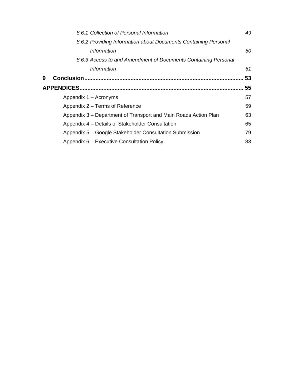|   | 8.6.1 Collection of Personal Information                        | 49 |
|---|-----------------------------------------------------------------|----|
|   | 8.6.2 Providing Information about Documents Containing Personal |    |
|   | Information                                                     | 50 |
|   | 8.6.3 Access to and Amendment of Documents Containing Personal  |    |
|   | <b>Information</b>                                              | 51 |
| 9 |                                                                 | 53 |
|   |                                                                 | 55 |
|   | Appendix 1 – Acronyms                                           | 57 |
|   | Appendix 2 – Terms of Reference                                 | 59 |
|   | Appendix 3 – Department of Transport and Main Roads Action Plan | 63 |
|   | Appendix 4 – Details of Stakeholder Consultation                | 65 |
|   | Appendix 5 – Google Stakeholder Consultation Submission         | 79 |
|   | Appendix 6 – Executive Consultation Policy                      | 83 |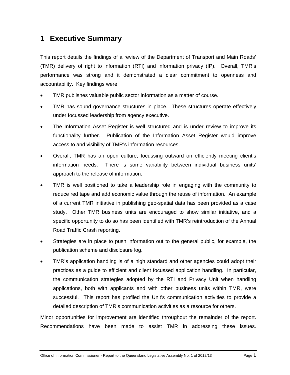## **1 Executive Summary**

This report details the findings of a review of the Department of Transport and Main Roads' (TMR) delivery of right to information (RTI) and information privacy (IP). Overall, TMR's performance was strong and it demonstrated a clear commitment to openness and accountability. Key findings were:

- TMR publishes valuable public sector information as a matter of course.
- TMR has sound governance structures in place. These structures operate effectively under focussed leadership from agency executive.
- The Information Asset Register is well structured and is under review to improve its functionality further. Publication of the Information Asset Register would improve access to and visibility of TMR's information resources.
- Overall, TMR has an open culture, focussing outward on efficiently meeting client's information needs. There is some variability between individual business units' approach to the release of information.
- TMR is well positioned to take a leadership role in engaging with the community to reduce red tape and add economic value through the reuse of information. An example of a current TMR initiative in publishing geo-spatial data has been provided as a case study. Other TMR business units are encouraged to show similar initiative, and a specific opportunity to do so has been identified with TMR's reintroduction of the Annual Road Traffic Crash reporting.
- Strategies are in place to push information out to the general public, for example, the publication scheme and disclosure log.
- TMR's application handling is of a high standard and other agencies could adopt their practices as a guide to efficient and client focussed application handling. In particular, the communication strategies adopted by the RTI and Privacy Unit when handling applications, both with applicants and with other business units within TMR, were successful. This report has profiled the Unit's communication activities to provide a detailed description of TMR's communication activities as a resource for others.

Minor opportunities for improvement are identified throughout the remainder of the report. Recommendations have been made to assist TMR in addressing these issues.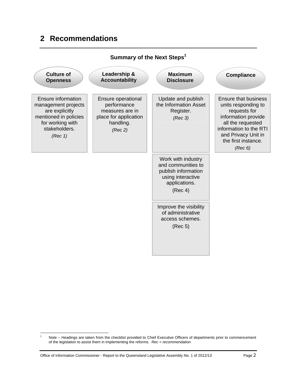## **2 Recommendations**



**Summary of the Next Steps<sup>1</sup>** 

<sup>&</sup>lt;u>.</u> 1 Note – Headings are taken from the checklist provided to Chief Executive Officers of departments prior to commencement of the legislation to assist them in implementing the reforms. *Rec = recommendation*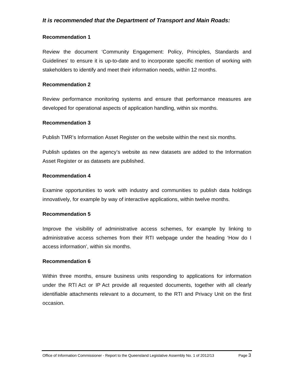### *It is recommended that the Department of Transport and Main Roads:*

#### **Recommendation 1**

Review the document 'Community Engagement: Policy, Principles, Standards and Guidelines' to ensure it is up-to-date and to incorporate specific mention of working with stakeholders to identify and meet their information needs, within 12 months.

#### **Recommendation 2**

Review performance monitoring systems and ensure that performance measures are developed for operational aspects of application handling, within six months.

#### **Recommendation 3**

Publish TMR's Information Asset Register on the website within the next six months.

Publish updates on the agency's website as new datasets are added to the Information Asset Register or as datasets are published.

#### **Recommendation 4**

Examine opportunities to work with industry and communities to publish data holdings innovatively, for example by way of interactive applications, within twelve months.

#### **Recommendation 5**

Improve the visibility of administrative access schemes, for example by linking to administrative access schemes from their RTI webpage under the heading 'How do I access information', within six months.

#### **Recommendation 6**

Within three months, ensure business units responding to applications for information under the RTI Act or IP Act provide all requested documents, together with all clearly identifiable attachments relevant to a document, to the RTI and Privacy Unit on the first occasion.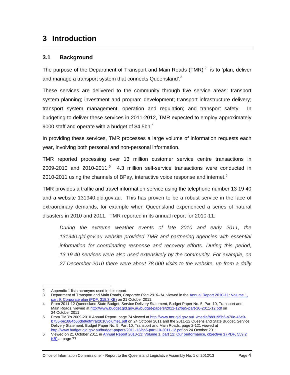## **3 Introduction**

### **3.1 Background**

The purpose of the Department of Transport and Main Roads (TMR)<sup>2</sup> is to 'plan, deliver and manage a transport system that connects Queensland'.<sup>3</sup>

These services are delivered to the community through five service areas: transport system planning; investment and program development; transport infrastructure delivery; transport system management, operation and regulation; and transport safety. In budgeting to deliver these services in 2011-2012, TMR expected to employ approximately 9000 staff and operate with a budget of  $$4.5$ bn.<sup>4</sup>

In providing these services, TMR processes a large volume of information requests each year, involving both personal and non-personal information.

TMR reported processing over 13 million customer service centre transactions in  $2009 - 2010$  and  $2010 - 2011$ .<sup>5</sup> 4.3 million self-service transactions were conducted in 2010-2011 using the channels of BPay, interactive voice response and internet. $6$ 

TMR provides a traffic and travel information service using the telephone number 13 19 40 and a website 131940.qld.gov.au. This has proven to be a robust service in the face of extraordinary demands, for example when Queensland experienced a series of natural disasters in 2010 and 2011. TMR reported in its annual report for 2010-11:

*During the extreme weather events of late 2010 and early 2011, the 131940.qld.gov.au website provided TMR and partnering agencies with essential information for coordinating response and recovery efforts. During this period, 13 19 40 services were also used extensively by the community. For example, on 27 December 2010 there were about 78 000 visits to the website, up from a daily* 

 $\overline{a}$ 2 Appendix 1 lists acronyms used in this report.

<sup>3</sup> Department of Transport and Main Roads, *Corporate Plan 2010–14*, viewed in the Annual Report 2010-11: Volume 1, part 9: Corporate plan (PDF, 318.3 KB) on 21 October 2011.

<sup>4</sup> From 2011-12 Queensland State Budget, Service Delivery Statement, Budget Paper No. 5, Part 10, Transport and Main Roads, viewed at http://www.budget.qld.gov.au/budget-papers/2011-12/bp5-part-10-2011-12.pdf on 24 October 2011

<sup>5</sup> From TMR's 2009-2010 Annual Report, page 74 viewed at http://www.tmr.qld.gov.au/~/media/bb9195b6-a70e-46e9b755-6e1884b56db9/dtmrar2010volume1.pdf on 24 October 2011 and the 2011-12 Queensland State Budget, Service Delivery Statement, Budget Paper No. 5, Part 10, Transport and Main Roads, page 2-121 viewed at http://www.budget.qld.gov.au/budget-papers/2011-12/bp5-part-10-2011-12.pdf on 24 October 2011

<sup>6</sup> Viewed on 21 October 2011 in Annual Report 2010-11: Volume 1, part 12: Our performance, objective 3 (PDF, 559.2 KB) at page 77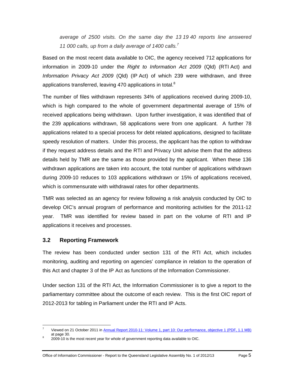*average of 2500 visits. On the same day the 13 19 40 reports line answered 11 000 calls, up from a daily average of 1400 calls.7*

Based on the most recent data available to OIC, the agency received 712 applications for information in 2009-10 under the *Right to Information Act 2009* (Qld) (RTI Act) and *Information Privacy Act 2009* (Qld) (IP Act) of which 239 were withdrawn, and three applications transferred, leaving 470 applications in total. $8$ 

The number of files withdrawn represents 34% of applications received during 2009-10, which is high compared to the whole of government departmental average of 15% of received applications being withdrawn. Upon further investigation, it was identified that of the 239 applications withdrawn, 58 applications were from one applicant. A further 78 applications related to a special process for debt related applications, designed to facilitate speedy resolution of matters. Under this process, the applicant has the option to withdraw if they request address details and the RTI and Privacy Unit advise them that the address details held by TMR are the same as those provided by the applicant. When these 136 withdrawn applications are taken into account, the total number of applications withdrawn during 2009-10 reduces to 103 applications withdrawn or 15% of applications received, which is commensurate with withdrawal rates for other departments.

TMR was selected as an agency for review following a risk analysis conducted by OIC to develop OIC's annual program of performance and monitoring activities for the 2011-12 year. TMR was identified for review based in part on the volume of RTI and IP applications it receives and processes.

### **3.2 Reporting Framework**

The review has been conducted under section 131 of the RTI Act, which includes monitoring, auditing and reporting on agencies' compliance in relation to the operation of this Act and chapter 3 of the IP Act as functions of the Information Commissioner.

Under section 131 of the RTI Act, the Information Commissioner is to give a report to the parliamentary committee about the outcome of each review. This is the first OIC report of 2012-2013 for tabling in Parliament under the RTI and IP Acts.

 $\overline{a}$ 7 Viewed on 21 October 2011 in Annual Report 2010-11: Volume 1, part 10: Our performance, objective 1 (PDF, 1.1 MB) at page 30.

 <sup>2009-10</sup> is the most recent year for whole of government reporting data available to OIC.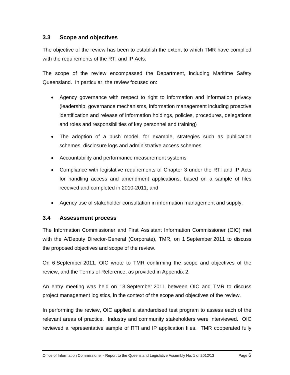### **3.3 Scope and objectives**

The objective of the review has been to establish the extent to which TMR have complied with the requirements of the RTI and IP Acts.

The scope of the review encompassed the Department, including Maritime Safety Queensland. In particular, the review focused on:

- Agency governance with respect to right to information and information privacy (leadership, governance mechanisms, information management including proactive identification and release of information holdings, policies, procedures, delegations and roles and responsibilities of key personnel and training)
- The adoption of a push model, for example, strategies such as publication schemes, disclosure logs and administrative access schemes
- Accountability and performance measurement systems
- Compliance with legislative requirements of Chapter 3 under the RTI and IP Acts for handling access and amendment applications, based on a sample of files received and completed in 2010-2011; and
- Agency use of stakeholder consultation in information management and supply.

### **3.4 Assessment process**

The Information Commissioner and First Assistant Information Commissioner (OIC) met with the A/Deputy Director-General (Corporate), TMR, on 1 September 2011 to discuss the proposed objectives and scope of the review.

On 6 September 2011, OIC wrote to TMR confirming the scope and objectives of the review, and the Terms of Reference, as provided in Appendix 2.

An entry meeting was held on 13 September 2011 between OIC and TMR to discuss project management logistics, in the context of the scope and objectives of the review.

In performing the review, OIC applied a standardised test program to assess each of the relevant areas of practice. Industry and community stakeholders were interviewed. OIC reviewed a representative sample of RTI and IP application files. TMR cooperated fully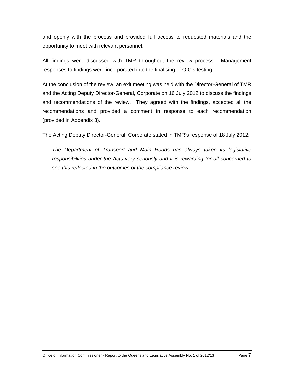and openly with the process and provided full access to requested materials and the opportunity to meet with relevant personnel.

All findings were discussed with TMR throughout the review process. Management responses to findings were incorporated into the finalising of OIC's testing.

At the conclusion of the review, an exit meeting was held with the Director-General of TMR and the Acting Deputy Director-General, Corporate on 16 July 2012 to discuss the findings and recommendations of the review. They agreed with the findings, accepted all the recommendations and provided a comment in response to each recommendation (provided in Appendix 3).

The Acting Deputy Director-General, Corporate stated in TMR's response of 18 July 2012:

*The Department of Transport and Main Roads has always taken its legislative responsibilities under the Acts very seriously and it is rewarding for all concerned to see this reflected in the outcomes of the compliance review.*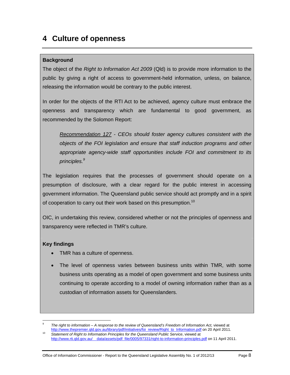## **4 Culture of openness**

### **Background**

The object of the *Right to Information Act 2009* (Qld) is to provide more information to the public by giving a right of access to government-held information, unless, on balance, releasing the information would be contrary to the public interest.

In order for the objects of the RTI Act to be achieved, agency culture must embrace the openness and transparency which are fundamental to good government, as recommended by the Solomon Report:

*Recommendation 127 - CEOs should foster agency cultures consistent with the objects of the FOI legislation and ensure that staff induction programs and other appropriate agency-wide staff opportunities include FOI and commitment to its principles.9*

The legislation requires that the processes of government should operate on a presumption of disclosure, with a clear regard for the public interest in accessing government information. The Queensland public service should act promptly and in a spirit of cooperation to carry out their work based on this presumption.<sup>10</sup>

OIC, in undertaking this review, considered whether or not the principles of openness and transparency were reflected in TMR's culture.

### **Key findings**

- TMR has a culture of openness.
- The level of openness varies between business units within TMR, with some business units operating as a model of open government and some business units continuing to operate according to a model of owning information rather than as a custodian of information assets for Queenslanders.

 $\overline{a}$ 9 The right to information – A response to the review of Queensland's Freedom of Information Act, viewed at http://www.thepremier.qld.gov.au/library/pdf/initiatives/foi\_review/Right\_to\_Information.pdf on 20 April 2011.<br>Statement of Right to Information Principles for the Queensland Public Service, viewed at

http://www.rti.qld.gov.au/ data/assets/pdf\_file/0005/97331/right-to-information-principles.pdf on 11 April 2011.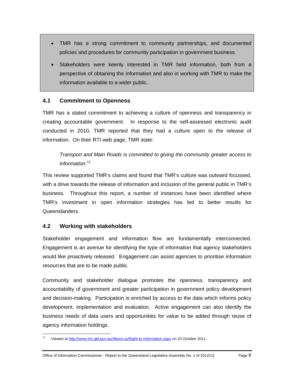- TMR has a strong commitment to community partnerships, and documented policies and procedures for community participation in government business.
- Stakeholders were keenly interested in TMR held information, both from a perspective of obtaining the information and also in working with TMR to make the information available to a wider public.

### **4.1 Commitment to Openness**

TMR has a stated commitment to achieving a culture of openness and transparency in creating accountable government. In response to the self-assessed electronic audit conducted in 2010, TMR reported that they had a culture open to the release of information. On their RTI web page, TMR state:

*Transport and Main Roads is committed to giving the community greater access to information.<sup>11</sup>*

This review supported TMR's claims and found that TMR's culture was outward focussed, with a drive towards the release of information and inclusion of the general public in TMR's business. Throughout this report, a number of instances have been identified where TMR's investment in open information strategies has led to better results for Queenslanders.

### **4.2 Working with stakeholders**

Stakeholder engagement and information flow are fundamentally interconnected. Engagement is an avenue for identifying the type of information that agency stakeholders would like proactively released. Engagement can assist agencies to prioritise information resources that are to be made public.

Community and stakeholder dialogue promotes the openness, transparency and accountability of government and greater participation in government policy development and decision-making. Participation is enriched by access to the data which informs policy development, implementation and evaluation. Active engagement can also identify the business needs of data users and opportunities for value to be added through reuse of agency information holdings.

 $11$ Viewed at http://www.tmr.qld.gov.au/About-us/Right-to-Information.aspx on 24 October 2011.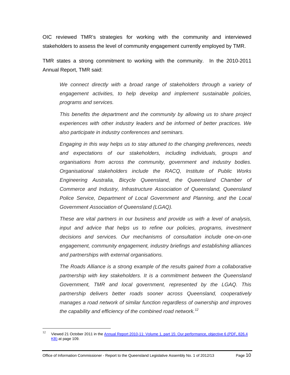OIC reviewed TMR's strategies for working with the community and interviewed stakeholders to assess the level of community engagement currently employed by TMR.

TMR states a strong commitment to working with the community. In the 2010-2011 Annual Report, TMR said:

We connect directly with a broad range of stakeholders through a variety of *engagement activities, to help develop and implement sustainable policies, programs and services.* 

*This benefits the department and the community by allowing us to share project experiences with other industry leaders and be informed of better practices. We also participate in industry conferences and seminars.* 

*Engaging in this way helps us to stay attuned to the changing preferences, needs and expectations of our stakeholders, including individuals, groups and organisations from across the community, government and industry bodies. Organisational stakeholders include the RACQ, Institute of Public Works Engineering Australia, Bicycle Queensland, the Queensland Chamber of Commerce and Industry, Infrastructure Association of Queensland, Queensland Police Service, Department of Local Government and Planning, and the Local Government Association of Queensland (LGAQ).* 

*These are vital partners in our business and provide us with a level of analysis, input and advice that helps us to refine our policies, programs, investment decisions and services. Our mechanisms of consultation include one-on-one engagement, community engagement, industry briefings and establishing alliances and partnerships with external organisations.* 

*The Roads Alliance is a strong example of the results gained from a collaborative partnership with key stakeholders. It is a commitment between the Queensland Government, TMR and local government, represented by the LGAQ. This partnership delivers better roads sooner across Queensland, cooperatively manages a road network of similar function regardless of ownership and improves the capability and efficiency of the combined road network.<sup>12</sup>*

 $12$ Viewed 21 October 2011 in the Annual Report 2010-11: Volume 1, part 15: Our performance, objective 6 (PDF, 826.4 KB) at page 109.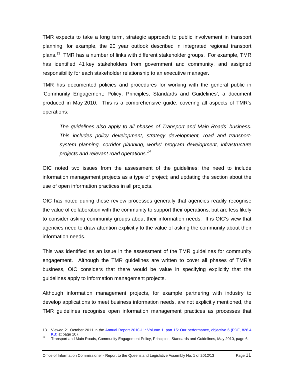TMR expects to take a long term, strategic approach to public involvement in transport planning, for example, the 20 year outlook described in integrated regional transport plans.<sup>13</sup> TMR has a number of links with different stakeholder groups. For example, TMR has identified 41 key stakeholders from government and community, and assigned responsibility for each stakeholder relationship to an executive manager.

TMR has documented policies and procedures for working with the general public in 'Community Engagement: Policy, Principles, Standards and Guidelines', a document produced in May 2010. This is a comprehensive guide, covering all aspects of TMR's operations:

*The guidelines also apply to all phases of Transport and Main Roads' business. This includes policy development, strategy development, road and transportsystem planning, corridor planning, works' program development, infrastructure projects and relevant road operations.<sup>14</sup>*

OIC noted two issues from the assessment of the guidelines: the need to include information management projects as a type of project; and updating the section about the use of open information practices in all projects.

OIC has noted during these review processes generally that agencies readily recognise the value of collaboration with the community to support their operations, but are less likely to consider asking community groups about their information needs. It is OIC's view that agencies need to draw attention explicitly to the value of asking the community about their information needs.

This was identified as an issue in the assessment of the TMR guidelines for community engagement. Although the TMR guidelines are written to cover all phases of TMR's business, OIC considers that there would be value in specifying explicitly that the guidelines apply to information management projects.

Although information management projects, for example partnering with industry to develop applications to meet business information needs, are not explicitly mentioned, the TMR guidelines recognise open information management practices as processes that

 $\overline{a}$ 

<sup>13</sup> Viewed 21 October 2011 in the Annual Report 2010-11: Volume 1, part 15: Our performance, objective 6 (PDF, 826.4 KB) at page 107.<br><sup>14</sup> Transport and Main Roads, Community Engagement Policy, Principles, Standards and Guidelines, May 2010, page 6.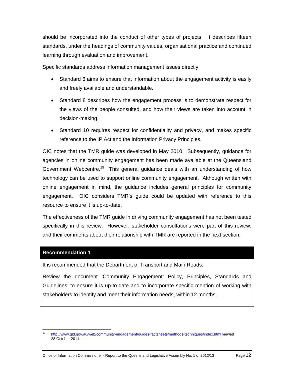should be incorporated into the conduct of other types of projects. It describes fifteen standards, under the headings of community values, organisational practice and continued learning through evaluation and improvement.

Specific standards address information management issues directly:

- Standard 6 aims to ensure that information about the engagement activity is easily and freely available and understandable.
- Standard 8 describes how the engagement process is to demonstrate respect for the views of the people consulted, and how their views are taken into account in decision-making.
- Standard 10 requires respect for confidentiality and privacy, and makes specific reference to the IP Act and the Information Privacy Principles.

OIC notes that the TMR guide was developed in May 2010. Subsequently, guidance for agencies in online community engagement has been made available at the Queensland Government Webcentre.<sup>15</sup> This general guidance deals with an understanding of how technology can be used to support online community engagement. Although written with online engagement in mind, the guidance includes general principles for community engagement. OIC considers TMR's guide could be updated with reference to this resource to ensure it is up-to-date.

The effectiveness of the TMR guide in driving community engagement has not been tested specifically in this review. However, stakeholder consultations were part of this review, and their comments about their relationship with TMR are reported in the next section.

#### **Recommendation 1**

It is recommended that the Department of Transport and Main Roads:

Review the document 'Community Engagement: Policy, Principles, Standards and Guidelines' to ensure it is up-to-date and to incorporate specific mention of working with stakeholders to identify and meet their information needs, within 12 months.

 $15<sup>15</sup>$ 15 http://www.qld.gov.au/web/community-engagement/guides-factsheets/methods-techniques/index.html viewed 28 October 2011.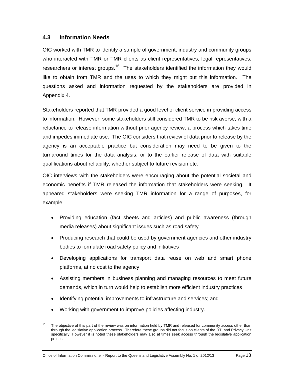### **4.3 Information Needs**

OIC worked with TMR to identify a sample of government, industry and community groups who interacted with TMR or TMR clients as client representatives, legal representatives, researchers or interest groups.<sup>16</sup> The stakeholders identified the information they would like to obtain from TMR and the uses to which they might put this information. The questions asked and information requested by the stakeholders are provided in Appendix 4.

Stakeholders reported that TMR provided a good level of client service in providing access to information. However, some stakeholders still considered TMR to be risk averse, with a reluctance to release information without prior agency review, a process which takes time and impedes immediate use. The OIC considers that review of data prior to release by the agency is an acceptable practice but consideration may need to be given to the turnaround times for the data analysis, or to the earlier release of data with suitable qualifications about reliability, whether subject to future revision etc.

OIC interviews with the stakeholders were encouraging about the potential societal and economic benefits if TMR released the information that stakeholders were seeking. It appeared stakeholders were seeking TMR information for a range of purposes, for example:

- Providing education (fact sheets and articles) and public awareness (through media releases) about significant issues such as road safety
- Producing research that could be used by government agencies and other industry bodies to formulate road safety policy and initiatives
- Developing applications for transport data reuse on web and smart phone platforms, at no cost to the agency
- Assisting members in business planning and managing resources to meet future demands, which in turn would help to establish more efficient industry practices
- Identifying potential improvements to infrastructure and services; and
- Working with government to improve policies affecting industry.

 $\overline{a}$ The objective of this part of the review was on information held by TMR and released for community access other than through the legislative application process. Therefore these groups did not focus on clients of the RTI and Privacy Unit specifically. However it is noted these stakeholders may also at times seek access through the legislative application process.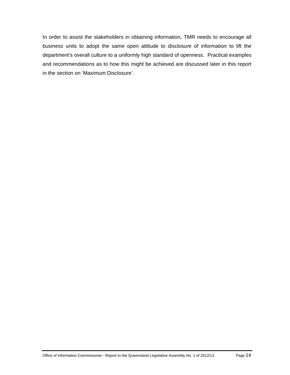In order to assist the stakeholders in obtaining information, TMR needs to encourage all business units to adopt the same open attitude to disclosure of information to lift the department's overall culture to a uniformly high standard of openness. Practical examples and recommendations as to how this might be achieved are discussed later in this report in the section on 'Maximum Disclosure'.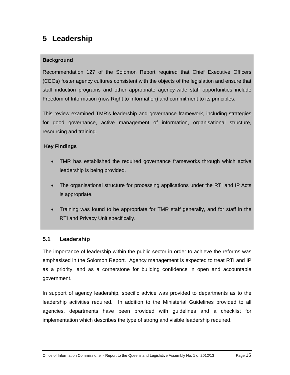## **5 Leadership**

## **Background**

Recommendation 127 of the Solomon Report required that Chief Executive Officers (CEOs) foster agency cultures consistent with the objects of the legislation and ensure that staff induction programs and other appropriate agency-wide staff opportunities include Freedom of Information (now Right to Information) and commitment to its principles.

This review examined TMR's leadership and governance framework, including strategies for good governance, active management of information, organisational structure, resourcing and training.

## **Key Findings**

- TMR has established the required governance frameworks through which active leadership is being provided.
- The organisational structure for processing applications under the RTI and IP Acts is appropriate.
- Training was found to be appropriate for TMR staff generally, and for staff in the RTI and Privacy Unit specifically.

## **5.1 Leadership**

The importance of leadership within the public sector in order to achieve the reforms was emphasised in the Solomon Report. Agency management is expected to treat RTI and IP as a priority, and as a cornerstone for building confidence in open and accountable government.

In support of agency leadership, specific advice was provided to departments as to the leadership activities required. In addition to the Ministerial Guidelines provided to all agencies, departments have been provided with guidelines and a checklist for implementation which describes the type of strong and visible leadership required.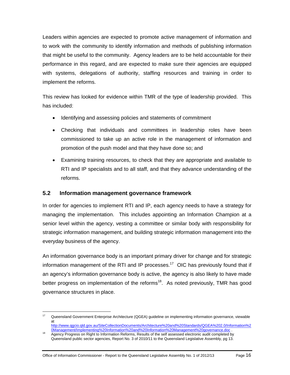Leaders within agencies are expected to promote active management of information and to work with the community to identify information and methods of publishing information that might be useful to the community. Agency leaders are to be held accountable for their performance in this regard, and are expected to make sure their agencies are equipped with systems, delegations of authority, staffing resources and training in order to implement the reforms.

This review has looked for evidence within TMR of the type of leadership provided. This has included:

- Identifying and assessing policies and statements of commitment
- Checking that individuals and committees in leadership roles have been commissioned to take up an active role in the management of information and promotion of the push model and that they have done so; and
- Examining training resources, to check that they are appropriate and available to RTI and IP specialists and to all staff, and that they advance understanding of the reforms.

## **5.2 Information management governance framework**

In order for agencies to implement RTI and IP, each agency needs to have a strategy for managing the implementation. This includes appointing an Information Champion at a senior level within the agency, vesting a committee or similar body with responsibility for strategic information management, and building strategic information management into the everyday business of the agency.

An information governance body is an important primary driver for change and for strategic information management of the RTI and IP processes.<sup>17</sup> OIC has previously found that if an agency's information governance body is active, the agency is also likely to have made better progress on implementation of the reforms<sup>18</sup>. As noted previously, TMR has good governance structures in place.

 $\overline{a}$ 

<sup>&</sup>lt;sup>17</sup> Queensland Government Enterprise Architecture (QGEA) guideline on implementing information governance, viewable at

http://www.qgcio.qld.gov.au/SiteCollectionDocuments/Architecture%20and%20Standards/QGEA%202.0/Information%2 0Management/Implementing%20Information%20and%20Information%20Management%20governance.doc .<br>Agency Progress on Right to Information Reforms, Results of the self assessed electronic audit completed by

Queensland public sector agencies, Report No. 3 of 2010/11 to the Queensland Legislative Assembly, pg 13.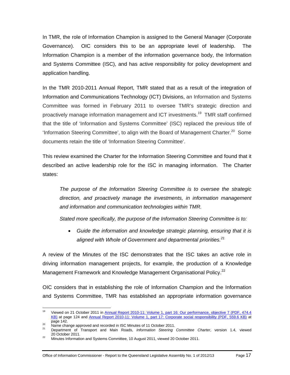In TMR, the role of Information Champion is assigned to the General Manager (Corporate Governance). OIC considers this to be an appropriate level of leadership. The Information Champion is a member of the information governance body, the Information and Systems Committee (ISC), and has active responsibility for policy development and application handling.

In the TMR 2010-2011 Annual Report, TMR stated that as a result of the integration of Information and Communications Technology (ICT) Divisions, an Information and Systems Committee was formed in February 2011 to oversee TMR's strategic direction and proactively manage information management and ICT investments.<sup>19</sup> TMR staff confirmed that the title of 'Information and Systems Committee' (ISC) replaced the previous title of 'Information Steering Committee', to align with the Board of Management Charter.<sup>20</sup> Some documents retain the title of 'Information Steering Committee'.

This review examined the Charter for the Information Steering Committee and found that it described an active leadership role for the ISC in managing information. The Charter states:

*The purpose of the Information Steering Committee is to oversee the strategic direction, and proactively manage the investments, in information management and information and communication technologies within TMR.* 

*Stated more specifically, the purpose of the Information Steering Committee is to:* 

 *Guide the information and knowledge strategic planning, ensuring that it is aligned with Whole of Government and departmental priorities.<sup>21</sup>*

A review of the Minutes of the ISC demonstrates that the ISC takes an active role in driving information management projects, for example, the production of a Knowledge Management Framework and Knowledge Management Organisational Policy.<sup>22</sup>

OIC considers that in establishing the role of Information Champion and the Information and Systems Committee, TMR has established an appropriate information governance

<sup>19</sup> 19 Viewed on 21 October 2011 in Annual Report 2010-11: Volume 1, part 16: Our performance, objective 7 (PDF, 474.4 KB) at page 124 and Annual Report 2010-11: Volume 1, part 17: Corporate social responsibility (PDF, 559.6 KB) at

page 1. 20<br>20 Name change approved and recorded in ISC Minutes of 11 October 2011.<br>21 Department of Transport and Main Roads, *Information Steering Committee Charter*, version 1.4, viewed<br>20 October 2011.

<sup>&</sup>lt;sup>22</sup> Minutes Information and Systems Committee, 10 August 2011, viewed 20 October 2011.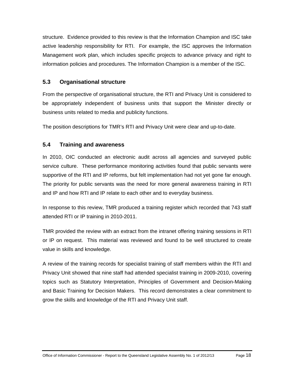structure. Evidence provided to this review is that the Information Champion and ISC take active leadership responsibility for RTI. For example, the ISC approves the Information Management work plan, which includes specific projects to advance privacy and right to information policies and procedures. The Information Champion is a member of the ISC.

### **5.3 Organisational structure**

From the perspective of organisational structure, the RTI and Privacy Unit is considered to be appropriately independent of business units that support the Minister directly or business units related to media and publicity functions.

The position descriptions for TMR's RTI and Privacy Unit were clear and up-to-date.

## **5.4 Training and awareness**

In 2010, OIC conducted an electronic audit across all agencies and surveyed public service culture. These performance monitoring activities found that public servants were supportive of the RTI and IP reforms, but felt implementation had not yet gone far enough. The priority for public servants was the need for more general awareness training in RTI and IP and how RTI and IP relate to each other and to everyday business.

In response to this review, TMR produced a training register which recorded that 743 staff attended RTI or IP training in 2010-2011.

TMR provided the review with an extract from the intranet offering training sessions in RTI or IP on request. This material was reviewed and found to be well structured to create value in skills and knowledge.

A review of the training records for specialist training of staff members within the RTI and Privacy Unit showed that nine staff had attended specialist training in 2009-2010, covering topics such as Statutory Interpretation, Principles of Government and Decision-Making and Basic Training for Decision Makers. This record demonstrates a clear commitment to grow the skills and knowledge of the RTI and Privacy Unit staff.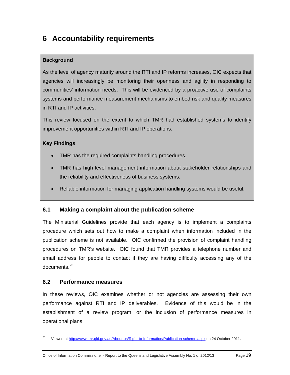## **6 Accountability requirements**

## **Background**

As the level of agency maturity around the RTI and IP reforms increases, OIC expects that agencies will increasingly be monitoring their openness and agility in responding to communities' information needs. This will be evidenced by a proactive use of complaints systems and performance measurement mechanisms to embed risk and quality measures in RTI and IP activities.

This review focused on the extent to which TMR had established systems to identify improvement opportunities within RTI and IP operations.

### **Key Findings**

- TMR has the required complaints handling procedures.
- TMR has high level management information about stakeholder relationships and the reliability and effectiveness of business systems.
- Reliable information for managing application handling systems would be useful.

## **6.1 Making a complaint about the publication scheme**

The Ministerial Guidelines provide that each agency is to implement a complaints procedure which sets out how to make a complaint when information included in the publication scheme is not available. OIC confirmed the provision of complaint handling procedures on TMR's website. OIC found that TMR provides a telephone number and email address for people to contact if they are having difficulty accessing any of the documents.<sup>23</sup>

### **6.2 Performance measures**

In these reviews, OIC examines whether or not agencies are assessing their own performance against RTI and IP deliverables. Evidence of this would be in the establishment of a review program, or the inclusion of performance measures in operational plans.

 $23$ 23 Viewed at http://www.tmr.qld.gov.au/About-us/Right-to-Information/Publication-scheme.aspx on 24 October 2011.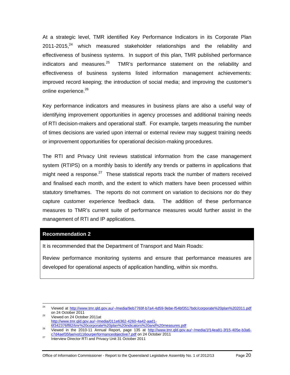At a strategic level, TMR identified Key Performance Indicators in its Corporate Plan  $2011$ -2015, $^{24}$  which measured stakeholder relationships and the reliability and effectiveness of business systems. In support of this plan, TMR published performance indicators and measures. $25$  TMR's performance statement on the reliability and effectiveness of business systems listed information management achievements: improved record keeping; the introduction of social media; and improving the customer's online experience.<sup>26</sup>

Key performance indicators and measures in business plans are also a useful way of identifying improvement opportunities in agency processes and additional training needs of RTI decision-makers and operational staff. For example, targets measuring the number of times decisions are varied upon internal or external review may suggest training needs or improvement opportunities for operational decision-making procedures.

The RTI and Privacy Unit reviews statistical information from the case management system (RTIPS) on a monthly basis to identify any trends or patterns in applications that might need a response.<sup>27</sup> These statistical reports track the number of matters received and finalised each month, and the extent to which matters have been processed within statutory timeframes. The reports do not comment on variation to decisions nor do they capture customer experience feedback data. The addition of these performance measures to TMR's current suite of performance measures would further assist in the management of RTI and IP applications.

#### **Recommendation 2**

It is recommended that the Department of Transport and Main Roads:

Review performance monitoring systems and ensure that performance measures are developed for operational aspects of application handling, within six months.

 $\frac{25}{100}$  Viewed on 24 October 2011at http://www.tmr.qld.gov.au/~/media/011e6362-4260-4a42-aad1-<br>6f342376ff82/tmr%20corporate%20plan%20indicators%20and%20measures.pdf

 $24$ Viewed at http://www.tmr.qld.gov.au/~/media/9eb7769f-b7a4-4d59-9ebe-f54bf3517bdc/corporate%20plan%202011.pdf on 24 October 2011

 $\frac{36}{26}$  Sie and 2010-11 Annual Report, page 135 at http://www.tmr.qld.gov.au/~/media/1f14ea81-3f15-405e-b3a6c7d4aef35fae/vol116ourperformanceobjective7.pdf on 24 October 2011<br>Interview Director RTI and Privacy Unit 31 October 2011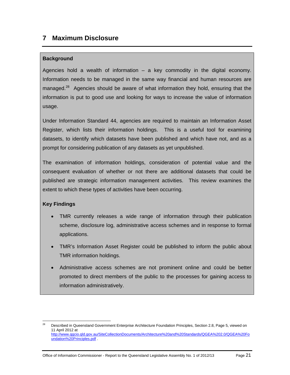## **7 Maximum Disclosure**

#### **Background**

Agencies hold a wealth of information – a key commodity in the digital economy. Information needs to be managed in the same way financial and human resources are managed.<sup>28</sup> Agencies should be aware of what information they hold, ensuring that the information is put to good use and looking for ways to increase the value of information usage.

Under Information Standard 44, agencies are required to maintain an Information Asset Register, which lists their information holdings. This is a useful tool for examining datasets, to identify which datasets have been published and which have not, and as a prompt for considering publication of any datasets as yet unpublished.

The examination of information holdings, consideration of potential value and the consequent evaluation of whether or not there are additional datasets that could be published are strategic information management activities. This review examines the extent to which these types of activities have been occurring.

### **Key Findings**

- TMR currently releases a wide range of information through their publication scheme, disclosure log, administrative access schemes and in response to formal applications.
- TMR's Information Asset Register could be published to inform the public about TMR information holdings.
- Administrative access schemes are not prominent online and could be better promoted to direct members of the public to the processes for gaining access to information administratively.

 $28$ 28 Described in Queensland Government Enterprise Architecture Foundation Principles, Section 2.8, Page 5, viewed on 11 April 2012 at http://www.qgcio.qld.gov.au/SiteCollectionDocuments/Architecture%20and%20Standards/QGEA%202.0/QGEA%20Fo undation%20Principles.pdf .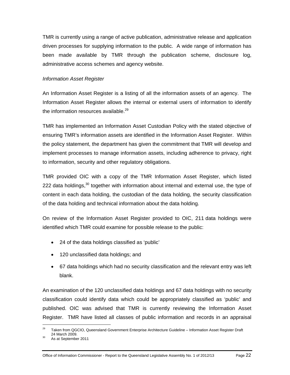TMR is currently using a range of active publication, administrative release and application driven processes for supplying information to the public. A wide range of information has been made available by TMR through the publication scheme, disclosure log, administrative access schemes and agency website.

#### *Information Asset Register*

An Information Asset Register is a listing of all the information assets of an agency. The Information Asset Register allows the internal or external users of information to identify the information resources available.<sup>29</sup>

TMR has implemented an Information Asset Custodian Policy with the stated objective of ensuring TMR's information assets are identified in the Information Asset Register. Within the policy statement, the department has given the commitment that TMR will develop and implement processes to manage information assets, including adherence to privacy, right to information, security and other regulatory obligations.

TMR provided OIC with a copy of the TMR Information Asset Register, which listed 222 data holdings, $30$  together with information about internal and external use, the type of content in each data holding, the custodian of the data holding, the security classification of the data holding and technical information about the data holding.

On review of the Information Asset Register provided to OIC, 211 data holdings were identified which TMR could examine for possible release to the public:

- 24 of the data holdings classified as 'public'
- 120 unclassified data holdings; and
- 67 data holdings which had no security classification and the relevant entry was left blank.

An examination of the 120 unclassified data holdings and 67 data holdings with no security classification could identify data which could be appropriately classified as 'public' and published. OIC was advised that TMR is currently reviewing the Information Asset Register. TMR have listed all classes of public information and records in an appraisal

 $\overline{a}$ 

<sup>&</sup>lt;sup>29</sup> Taken from QGCIO, Queensland Government Enterprise Architecture Guideline – Information Asset Register Draft  $24$  March 2009.<br><sup>30</sup> As at September 2011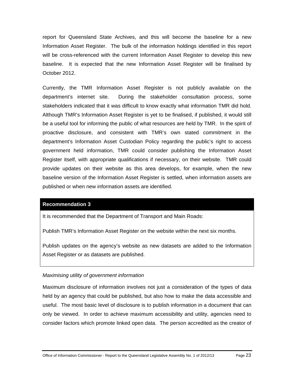report for Queensland State Archives, and this will become the baseline for a new Information Asset Register. The bulk of the information holdings identified in this report will be cross-referenced with the current Information Asset Register to develop this new baseline. It is expected that the new Information Asset Register will be finalised by October 2012.

Currently, the TMR Information Asset Register is not publicly available on the department's internet site. During the stakeholder consultation process, some stakeholders indicated that it was difficult to know exactly what information TMR did hold. Although TMR's Information Asset Register is yet to be finalised, if published, it would still be a useful tool for informing the public of what resources are held by TMR. In the spirit of proactive disclosure, and consistent with TMR's own stated commitment in the department's Information Asset Custodian Policy regarding the public's right to access government held information, TMR could consider publishing the Information Asset Register itself, with appropriate qualifications if necessary, on their website. TMR could provide updates on their website as this area develops, for example, when the new baseline version of the Information Asset Register is settled, when information assets are published or when new information assets are identified.

#### **Recommendation 3**

It is recommended that the Department of Transport and Main Roads:

Publish TMR's Information Asset Register on the website within the next six months.

Publish updates on the agency's website as new datasets are added to the Information Asset Register or as datasets are published.

#### *Maximising utility of government information*

Maximum disclosure of information involves not just a consideration of the types of data held by an agency that could be published, but also how to make the data accessible and useful. The most basic level of disclosure is to publish information in a document that can only be viewed. In order to achieve maximum accessibility and utility, agencies need to consider factors which promote linked open data. The person accredited as the creator of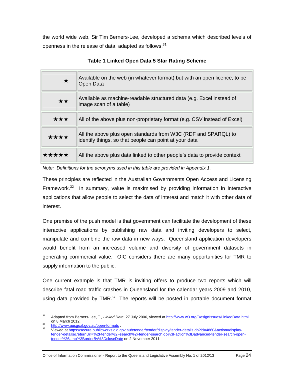the world wide web, Sir Tim Berners-Lee, developed a schema which described levels of openness in the release of data, adapted as follows: $31$ 

| $\bigstar$ | Available on the web (in whatever format) but with an open licence, to be<br>Open Data                                   |
|------------|--------------------------------------------------------------------------------------------------------------------------|
| ★★         | Available as machine-readable structured data (e.g. Excel instead of<br>image scan of a table)                           |
| ★★★        | All of the above plus non-proprietary format (e.g. CSV instead of Excel)                                                 |
| ****       | All the above plus open standards from W3C (RDF and SPARQL) to<br>identify things, so that people can point at your data |
| *****      | All the above plus data linked to other people's data to provide context                                                 |

**Table 1 Linked Open Data 5 Star Rating Scheme** 

*Note: Definitions for the acronyms used in this table are provided in Appendix 1.* 

These principles are reflected in the Australian Governments Open Access and Licensing Framework.<sup>32</sup> In summary, value is maximised by providing information in interactive applications that allow people to select the data of interest and match it with other data of interest.

One premise of the push model is that government can facilitate the development of these interactive applications by publishing raw data and inviting developers to select, manipulate and combine the raw data in new ways. Queensland application developers would benefit from an increased volume and diversity of government datasets in generating commercial value. OIC considers there are many opportunities for TMR to supply information to the public.

One current example is that TMR is inviting offers to produce two reports which will describe fatal road traffic crashes in Queensland for the calendar years 2009 and 2010, using data provided by  $TMR<sup>33</sup>$  The reports will be posted in portable document format

 $31$ Adapted from Berners-Lee, T., Linked Data, 27 July 2006, viewed at http://www.w3.org/DesignIssues/LinkedData.html<br>on 8 March 2012.

on 8 March 2012.<br><u>32 http://www.ausgoal.gov.au/open-formats</u> .<br>33 Viewed at https://secure.publicworks.qld.gov.au/etender/tender/display/tender-details.do?id=4860&action=displaytender-details&returnUrl=%2Ftender%2Fsearch%2Ftender-search.do%3Faction%3Dadvanced-tender-search-opentender%26amp%3BorderBy%3DcloseDate on 2 November 2011.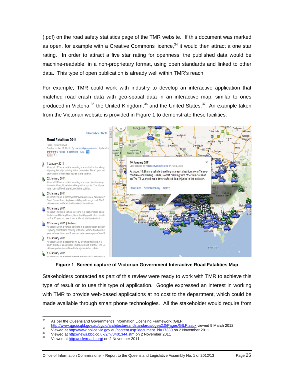(.pdf) on the road safety statistics page of the TMR website. If this document was marked as open, for example with a Creative Commons licence,  $34$  it would then attract a one star rating. In order to attract a five star rating for openness, the published data would be machine-readable, in a non-proprietary format, using open standards and linked to other data. This type of open publication is already well within TMR's reach.

For example, TMR could work with industry to develop an interactive application that matched road crash data with geo-spatial data in an interactive map, similar to ones produced in Victoria,  $35$  the United Kingdom,  $36$  and the United States.  $37$  An example taken from the Victorian website is provided in Figure 1 to demonstrate these facilities:



**Figure 1 Screen capture of Victorian Government Interactive Road Fatalities Map**

Stakeholders contacted as part of this review were ready to work with TMR to achieve this type of result or to use this type of application. Google expressed an interest in working with TMR to provide web-based applications at no cost to the department, which could be made available through smart phone technologies. All the stakeholder would require from

<sup>34</sup> As per the Queensland Government's Information Licensing Framework (GILF)

http://www.qgcio.qld.gov.au/qgcio/architectureandstandards/qgea2.0/Pages/GILF.aspx viewed 9 March 2012<br>Viewed at http://www.police.vic.gov.au/content.asp?document\_id=17330\_on 2 November 2011<br>Viewed at http://news.bbc.co.uk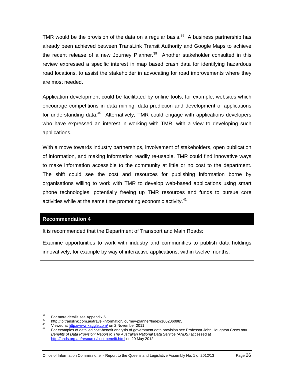TMR would be the provision of the data on a regular basis. $38$  A business partnership has already been achieved between TransLink Transit Authority and Google Maps to achieve the recent release of a new Journey Planner. $39$  Another stakeholder consulted in this review expressed a specific interest in map based crash data for identifying hazardous road locations, to assist the stakeholder in advocating for road improvements where they are most needed.

Application development could be facilitated by online tools, for example, websites which encourage competitions in data mining, data prediction and development of applications for understanding data. $40$  Alternatively, TMR could engage with applications developers who have expressed an interest in working with TMR, with a view to developing such applications.

With a move towards industry partnerships, involvement of stakeholders, open publication of information, and making information readily re-usable, TMR could find innovative ways to make information accessible to the community at little or no cost to the department. The shift could see the cost and resources for publishing information borne by organisations willing to work with TMR to develop web-based applications using smart phone technologies, potentially freeing up TMR resources and funds to pursue core activities while at the same time promoting economic activity.<sup>41</sup>

#### **Recommendation 4**

It is recommended that the Department of Transport and Main Roads:

Examine opportunities to work with industry and communities to publish data holdings innovatively, for example by way of interactive applications, within twelve months.

<sup>38</sup> 

<sup>&</sup>lt;sup>38</sup> For more details see Appendix 5<br>
http://jp.translink.com.au/travel-information/journey-planner/Index/1602060985<br>
<sup>40</sup> Viewed at http://www.kaggle.com/ on 2 November 2011<br>
<sup>41</sup> For examples of detailed cost-benefit ana *Benefits of Data Provision: Report to The Australian National Data Service (ANDS)* accessed at http://ands.org.au/resource/cost-benefit.html on 29 May 2012.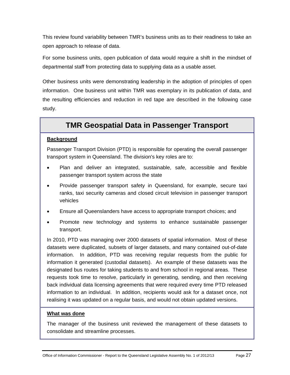This review found variability between TMR's business units as to their readiness to take an open approach to release of data.

For some business units, open publication of data would require a shift in the mindset of departmental staff from protecting data to supplying data as a usable asset.

Other business units were demonstrating leadership in the adoption of principles of open information. One business unit within TMR was exemplary in its publication of data, and the resulting efficiencies and reduction in red tape are described in the following case study.

## **TMR Geospatial Data in Passenger Transport**

### **Background**

Passenger Transport Division (PTD) is responsible for operating the overall passenger transport system in Queensland. The division's key roles are to:

- Plan and deliver an integrated, sustainable, safe, accessible and flexible passenger transport system across the state
- Provide passenger transport safety in Queensland, for example, secure taxi ranks, taxi security cameras and closed circuit television in passenger transport vehicles
- Ensure all Queenslanders have access to appropriate transport choices; and
- Promote new technology and systems to enhance sustainable passenger transport.

In 2010, PTD was managing over 2000 datasets of spatial information. Most of these datasets were duplicated, subsets of larger datasets, and many contained out-of-date information. In addition, PTD was receiving regular requests from the public for information it generated (custodial datasets). An example of these datasets was the designated bus routes for taking students to and from school in regional areas. These requests took time to resolve, particularly in generating, sending, and then receiving back individual data licensing agreements that were required every time PTD released information to an individual. In addition, recipients would ask for a dataset once, not realising it was updated on a regular basis, and would not obtain updated versions.

### **What was done**

The manager of the business unit reviewed the management of these datasets to consolidate and streamline processes.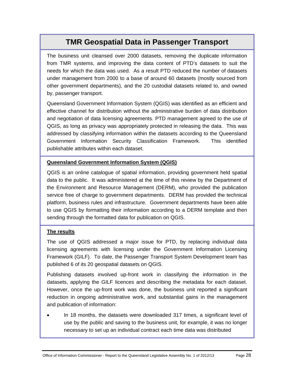## **TMR Geospatial Data in Passenger Transport**

The business unit cleansed over 2000 datasets, removing the duplicate information from TMR systems, and improving the data content of PTD's datasets to suit the needs for which the data was used. As a result PTD reduced the number of datasets under management from 2000 to a base of around 60 datasets (mostly sourced from other government departments), and the 20 custodial datasets related to, and owned by, passenger transport.

Queensland Government Information System (QGIS) was identified as an efficient and effective channel for distribution without the administrative burden of data distribution and negotiation of data licensing agreements. PTD management agreed to the use of QGIS, as long as privacy was appropriately protected in releasing the data. This was addressed by classifying information within the datasets according to the Queensland Government Information Security Classification Framework. This identified publishable attributes within each dataset.

### **Queensland Government Information System (QGIS)**

QGIS is an online catalogue of spatial information, providing government held spatial data to the public. It was administered at the time of this review by the Department of the Environment and Resource Management (DERM), who provided the publication service free of charge to government departments. DERM has provided the technical platform, business rules and infrastructure. Government departments have been able to use QGIS by formatting their information according to a DERM template and then sending through the formatted data for publication on QGIS.

#### **The results**

The use of QGIS addressed a major issue for PTD, by replacing individual data licensing agreements with licensing under the Government Information Licensing Framework (GILF). To date, the Passenger Transport System Development team has published 6 of its 20 geospatial datasets on QGIS.

Publishing datasets involved up-front work in classifying the information in the datasets, applying the GILF licences and describing the metadata for each dataset. However, once the up-front work was done, the business unit reported a significant reduction in ongoing administrative work, and substantial gains in the management and publication of information:

 In 18 months, the datasets were downloaded 317 times, a significant level of use by the public and saving to the business unit, for example, it was no longer necessary to set up an individual contract each time data was distributed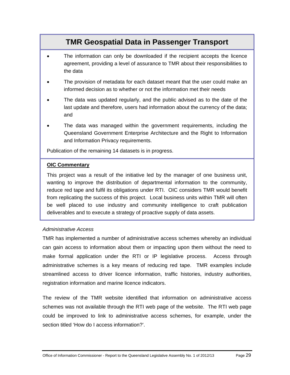## **TMR Geospatial Data in Passenger Transport**

- The information can only be downloaded if the recipient accepts the licence agreement, providing a level of assurance to TMR about their responsibilities to the data
- The provision of metadata for each dataset meant that the user could make an informed decision as to whether or not the information met their needs
- The data was updated regularly, and the public advised as to the date of the last update and therefore, users had information about the currency of the data; and
- The data was managed within the government requirements, including the Queensland Government Enterprise Architecture and the Right to Information and Information Privacy requirements.

Publication of the remaining 14 datasets is in progress.

#### **OIC Commentary**

This project was a result of the initiative led by the manager of one business unit, wanting to improve the distribution of departmental information to the community, reduce red tape and fulfil its obligations under RTI. OIC considers TMR would benefit from replicating the success of this project. Local business units within TMR will often be well placed to use industry and community intelligence to craft publication deliverables and to execute a strategy of proactive supply of data assets.

#### *Administrative Access*

TMR has implemented a number of administrative access schemes whereby an individual can gain access to information about them or impacting upon them without the need to make formal application under the RTI or IP legislative process. Access through administrative schemes is a key means of reducing red tape. TMR examples include streamlined access to driver licence information, traffic histories, industry authorities, registration information and marine licence indicators.

The review of the TMR website identified that information on administrative access schemes was not available through the RTI web page of the website. The RTI web page could be improved to link to administrative access schemes, for example, under the section titled 'How do I access information?'.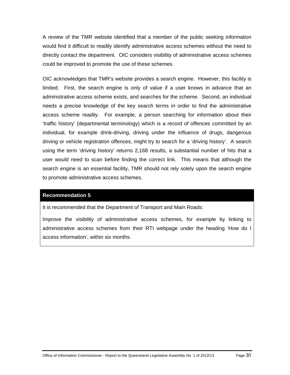A review of the TMR website identified that a member of the public seeking information would find it difficult to readily identify administrative access schemes without the need to directly contact the department. OIC considers visibility of administrative access schemes could be improved to promote the use of these schemes.

OIC acknowledges that TMR's website provides a search engine. However, this facility is limited. First, the search engine is only of value if a user knows in advance that an administrative access scheme exists, and searches for the scheme. Second, an individual needs a precise knowledge of the key search terms in order to find the administrative access scheme readily. For example, a person searching for information about their 'traffic history' (departmental terminology) which is a record of offences committed by an individual, for example drink-driving, driving under the influence of drugs, dangerous driving or vehicle registration offences, might try to search for a 'driving history'. A search using the term 'driving history' returns 2,168 results, a substantial number of hits that a user would need to scan before finding the correct link. This means that although the search engine is an essential facility, TMR should not rely solely upon the search engine to promote administrative access schemes.

### **Recommendation 5**

It is recommended that the Department of Transport and Main Roads:

Improve the visibility of administrative access schemes, for example by linking to administrative access schemes from their RTI webpage under the heading 'How do I access information', within six months.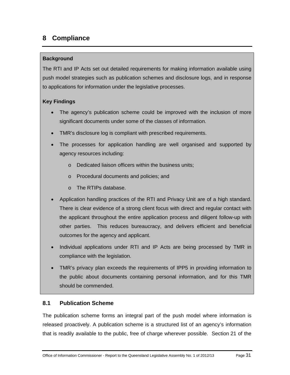# **8 Compliance**

### **Background**

The RTI and IP Acts set out detailed requirements for making information available using push model strategies such as publication schemes and disclosure logs, and in response to applications for information under the legislative processes.

# **Key Findings**

- The agency's publication scheme could be improved with the inclusion of more significant documents under some of the classes of information.
- TMR's disclosure log is compliant with prescribed requirements.
- The processes for application handling are well organised and supported by agency resources including:
	- o Dedicated liaison officers within the business units;
	- o Procedural documents and policies; and
	- o The RTIPs database.
- Application handling practices of the RTI and Privacy Unit are of a high standard. There is clear evidence of a strong client focus with direct and regular contact with the applicant throughout the entire application process and diligent follow-up with other parties. This reduces bureaucracy, and delivers efficient and beneficial outcomes for the agency and applicant.
- Individual applications under RTI and IP Acts are being processed by TMR in compliance with the legislation.
- TMR's privacy plan exceeds the requirements of IPP5 in providing information to the public about documents containing personal information, and for this TMR should be commended.

# **8.1 Publication Scheme**

The publication scheme forms an integral part of the push model where information is released proactively. A publication scheme is a structured list of an agency's information that is readily available to the public, free of charge wherever possible. Section 21 of the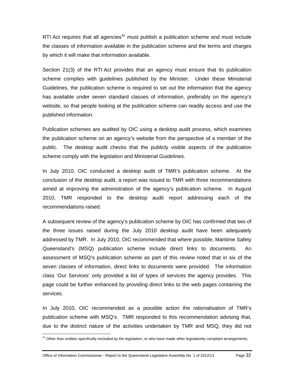RTI Act requires that all agencies<sup>42</sup> must publish a publication scheme and must include the classes of information available in the publication scheme and the terms and charges by which it will make that information available.

Section 21(3) of the RTI Act provides that an agency must ensure that its publication scheme complies with guidelines published by the Minister. Under these Ministerial Guidelines, the publication scheme is required to set out the information that the agency has available under seven standard classes of information, preferably on the agency's website, so that people looking at the publication scheme can readily access and use the published information.

Publication schemes are audited by OIC using a desktop audit process, which examines the publication scheme on an agency's website from the perspective of a member of the public. The desktop audit checks that the publicly visible aspects of the publication scheme comply with the legislation and Ministerial Guidelines.

In July 2010, OIC conducted a desktop audit of TMR's publication scheme. At the conclusion of the desktop audit, a report was issued to TMR with three recommendations aimed at improving the administration of the agency's publication scheme. In August 2010, TMR responded to the desktop audit report addressing each of the recommendations raised.

A subsequent review of the agency's publication scheme by OIC has confirmed that two of the three issues raised during the July 2010 desktop audit have been adequately addressed by TMR. In July 2010, OIC recommended that where possible, Maritime Safety Queensland's (MSQ) publication scheme include direct links to documents. An assessment of MSQ's publication scheme as part of this review noted that in six of the seven classes of information, direct links to documents were provided. The information class 'Our Services' only provided a list of types of services the agency provides. This page could be further enhanced by providing direct links to the web pages containing the services.

In July 2010, OIC recommended as a possible action the rationalisation of TMR's publication scheme with MSQ's. TMR responded to this recommendation advising that, due to the distinct nature of the activities undertaken by TMR and MSQ, they did not

 $\overline{a}$ 

 $42$  Other than entities specifically excluded by the legislation, or who have made other legislatively compliant arrangements.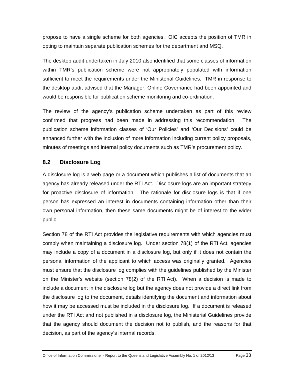propose to have a single scheme for both agencies. OIC accepts the position of TMR in opting to maintain separate publication schemes for the department and MSQ.

The desktop audit undertaken in July 2010 also identified that some classes of information within TMR's publication scheme were not appropriately populated with information sufficient to meet the requirements under the Ministerial Guidelines. TMR in response to the desktop audit advised that the Manager, Online Governance had been appointed and would be responsible for publication scheme monitoring and co-ordination.

The review of the agency's publication scheme undertaken as part of this review confirmed that progress had been made in addressing this recommendation. The publication scheme information classes of 'Our Policies' and 'Our Decisions' could be enhanced further with the inclusion of more information including current policy proposals, minutes of meetings and internal policy documents such as TMR's procurement policy.

# **8.2 Disclosure Log**

A disclosure log is a web page or a document which publishes a list of documents that an agency has already released under the RTI Act. Disclosure logs are an important strategy for proactive disclosure of information. The rationale for disclosure logs is that if one person has expressed an interest in documents containing information other than their own personal information, then these same documents might be of interest to the wider public.

Section 78 of the RTI Act provides the legislative requirements with which agencies must comply when maintaining a disclosure log. Under section 78(1) of the RTI Act, agencies may include a copy of a document in a disclosure log, but only if it does not contain the personal information of the applicant to which access was originally granted. Agencies must ensure that the disclosure log complies with the guidelines published by the Minister on the Minister's website (section 78(2) of the RTI Act). When a decision is made to include a document in the disclosure log but the agency does not provide a direct link from the disclosure log to the document, details identifying the document and information about how it may be accessed must be included in the disclosure log. If a document is released under the RTI Act and not published in a disclosure log, the Ministerial Guidelines provide that the agency should document the decision not to publish, and the reasons for that decision, as part of the agency's internal records.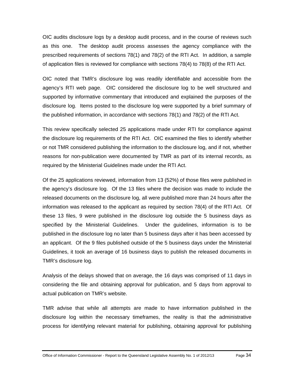OIC audits disclosure logs by a desktop audit process, and in the course of reviews such as this one. The desktop audit process assesses the agency compliance with the prescribed requirements of sections 78(1) and 78(2) of the RTI Act. In addition, a sample of application files is reviewed for compliance with sections 78(4) to 78(8) of the RTI Act.

OIC noted that TMR's disclosure log was readily identifiable and accessible from the agency's RTI web page. OIC considered the disclosure log to be well structured and supported by informative commentary that introduced and explained the purposes of the disclosure log. Items posted to the disclosure log were supported by a brief summary of the published information, in accordance with sections 78(1) and 78(2) of the RTI Act.

This review specifically selected 25 applications made under RTI for compliance against the disclosure log requirements of the RTI Act. OIC examined the files to identify whether or not TMR considered publishing the information to the disclosure log, and if not, whether reasons for non-publication were documented by TMR as part of its internal records, as required by the Ministerial Guidelines made under the RTI Act.

Of the 25 applications reviewed, information from 13 (52%) of those files were published in the agency's disclosure log. Of the 13 files where the decision was made to include the released documents on the disclosure log, all were published more than 24 hours after the information was released to the applicant as required by section 78(4) of the RTI Act. Of these 13 files, 9 were published in the disclosure log outside the 5 business days as specified by the Ministerial Guidelines. Under the guidelines, information is to be published in the disclosure log no later than 5 business days after it has been accessed by an applicant. Of the 9 files published outside of the 5 business days under the Ministerial Guidelines, it took an average of 16 business days to publish the released documents in TMR's disclosure log.

Analysis of the delays showed that on average, the 16 days was comprised of 11 days in considering the file and obtaining approval for publication, and 5 days from approval to actual publication on TMR's website.

TMR advise that while all attempts are made to have information published in the disclosure log within the necessary timeframes, the reality is that the administrative process for identifying relevant material for publishing, obtaining approval for publishing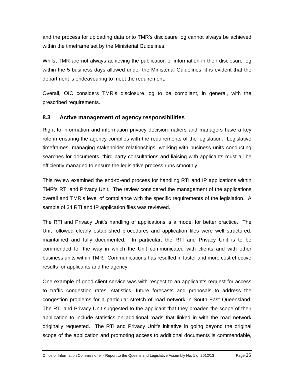and the process for uploading data onto TMR's disclosure log cannot always be achieved within the timeframe set by the Ministerial Guidelines.

Whilst TMR are not always achieving the publication of information in their disclosure log within the 5 business days allowed under the Ministerial Guidelines, it is evident that the department is endeavouring to meet the requirement.

Overall, OIC considers TMR's disclosure log to be compliant, in general, with the prescribed requirements.

# **8.3 Active management of agency responsibilities**

Right to information and information privacy decision-makers and managers have a key role in ensuring the agency complies with the requirements of the legislation. Legislative timeframes, managing stakeholder relationships, working with business units conducting searches for documents, third party consultations and liaising with applicants must all be efficiently managed to ensure the legislative process runs smoothly.

This review examined the end-to-end process for handling RTI and IP applications within TMR's RTI and Privacy Unit. The review considered the management of the applications overall and TMR's level of compliance with the specific requirements of the legislation. A sample of 34 RTI and IP application files was reviewed.

The RTI and Privacy Unit's handling of applications is a model for better practice. The Unit followed clearly established procedures and application files were well structured, maintained and fully documented. In particular, the RTI and Privacy Unit is to be commended for the way in which the Unit communicated with clients and with other business units within TMR. Communications has resulted in faster and more cost effective results for applicants and the agency.

One example of good client service was with respect to an applicant's request for access to traffic congestion rates, statistics, future forecasts and proposals to address the congestion problems for a particular stretch of road network in South East Queensland. The RTI and Privacy Unit suggested to the applicant that they broaden the scope of their application to include statistics on additional roads that linked in with the road network originally requested. The RTI and Privacy Unit's initiative in going beyond the original scope of the application and promoting access to additional documents is commendable,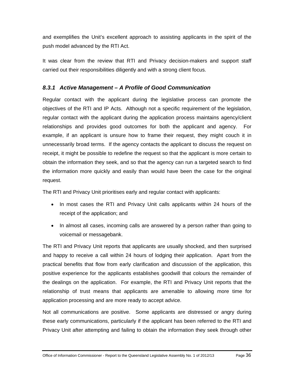and exemplifies the Unit's excellent approach to assisting applicants in the spirit of the push model advanced by the RTI Act.

It was clear from the review that RTI and Privacy decision-makers and support staff carried out their responsibilities diligently and with a strong client focus.

# *8.3.1 Active Management – A Profile of Good Communication*

Regular contact with the applicant during the legislative process can promote the objectives of the RTI and IP Acts. Although not a specific requirement of the legislation, regular contact with the applicant during the application process maintains agency/client relationships and provides good outcomes for both the applicant and agency. For example, if an applicant is unsure how to frame their request, they might couch it in unnecessarily broad terms. If the agency contacts the applicant to discuss the request on receipt, it might be possible to redefine the request so that the applicant is more certain to obtain the information they seek, and so that the agency can run a targeted search to find the information more quickly and easily than would have been the case for the original request.

The RTI and Privacy Unit prioritises early and regular contact with applicants:

- In most cases the RTI and Privacy Unit calls applicants within 24 hours of the receipt of the application; and
- In almost all cases, incoming calls are answered by a person rather than going to voicemail or messagebank.

The RTI and Privacy Unit reports that applicants are usually shocked, and then surprised and happy to receive a call within 24 hours of lodging their application. Apart from the practical benefits that flow from early clarification and discussion of the application, this positive experience for the applicants establishes goodwill that colours the remainder of the dealings on the application. For example, the RTI and Privacy Unit reports that the relationship of trust means that applicants are amenable to allowing more time for application processing and are more ready to accept advice.

Not all communications are positive. Some applicants are distressed or angry during these early communications, particularly if the applicant has been referred to the RTI and Privacy Unit after attempting and failing to obtain the information they seek through other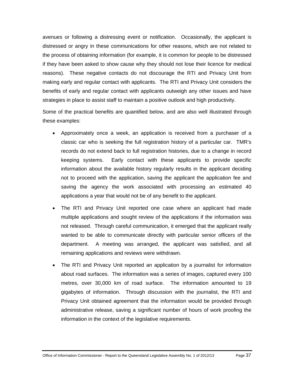avenues or following a distressing event or notification. Occasionally, the applicant is distressed or angry in these communications for other reasons, which are not related to the process of obtaining information (for example, it is common for people to be distressed if they have been asked to show cause why they should not lose their licence for medical reasons). These negative contacts do not discourage the RTI and Privacy Unit from making early and regular contact with applicants. The RTI and Privacy Unit considers the benefits of early and regular contact with applicants outweigh any other issues and have strategies in place to assist staff to maintain a positive outlook and high productivity.

Some of the practical benefits are quantified below, and are also well illustrated through these examples:

- Approximately once a week, an application is received from a purchaser of a classic car who is seeking the full registration history of a particular car. TMR's records do not extend back to full registration histories, due to a change in record keeping systems. Early contact with these applicants to provide specific information about the available history regularly results in the applicant deciding not to proceed with the application, saving the applicant the application fee and saving the agency the work associated with processing an estimated 40 applications a year that would not be of any benefit to the applicant.
- The RTI and Privacy Unit reported one case where an applicant had made multiple applications and sought review of the applications if the information was not released. Through careful communication, it emerged that the applicant really wanted to be able to communicate directly with particular senior officers of the department. A meeting was arranged, the applicant was satisfied, and all remaining applications and reviews were withdrawn.
- The RTI and Privacy Unit reported an application by a journalist for information about road surfaces. The information was a series of images, captured every 100 metres, over 30,000 km of road surface. The information amounted to 19 gigabytes of information. Through discussion with the journalist, the RTI and Privacy Unit obtained agreement that the information would be provided through administrative release, saving a significant number of hours of work proofing the information in the context of the legislative requirements.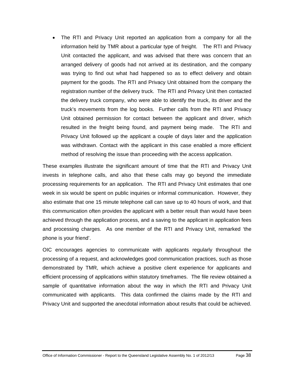The RTI and Privacy Unit reported an application from a company for all the information held by TMR about a particular type of freight. The RTI and Privacy Unit contacted the applicant, and was advised that there was concern that an arranged delivery of goods had not arrived at its destination, and the company was trying to find out what had happened so as to effect delivery and obtain payment for the goods. The RTI and Privacy Unit obtained from the company the registration number of the delivery truck. The RTI and Privacy Unit then contacted the delivery truck company, who were able to identify the truck, its driver and the truck's movements from the log books. Further calls from the RTI and Privacy Unit obtained permission for contact between the applicant and driver, which resulted in the freight being found, and payment being made. The RTI and Privacy Unit followed up the applicant a couple of days later and the application was withdrawn. Contact with the applicant in this case enabled a more efficient method of resolving the issue than proceeding with the access application.

These examples illustrate the significant amount of time that the RTI and Privacy Unit invests in telephone calls, and also that these calls may go beyond the immediate processing requirements for an application. The RTI and Privacy Unit estimates that one week in six would be spent on public inquiries or informal communication. However, they also estimate that one 15 minute telephone call can save up to 40 hours of work, and that this communication often provides the applicant with a better result than would have been achieved through the application process, and a saving to the applicant in application fees and processing charges. As one member of the RTI and Privacy Unit, remarked 'the phone is your friend'.

OIC encourages agencies to communicate with applicants regularly throughout the processing of a request, and acknowledges good communication practices, such as those demonstrated by TMR, which achieve a positive client experience for applicants and efficient processing of applications within statutory timeframes. The file review obtained a sample of quantitative information about the way in which the RTI and Privacy Unit communicated with applicants. This data confirmed the claims made by the RTI and Privacy Unit and supported the anecdotal information about results that could be achieved.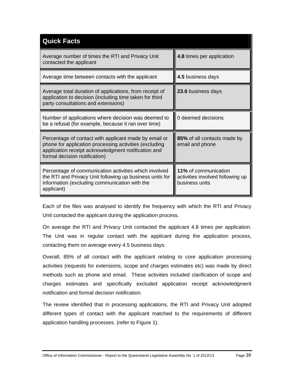| <b>Quick Facts</b>                                                                                                                                                                                      |                                                                            |  |  |  |
|---------------------------------------------------------------------------------------------------------------------------------------------------------------------------------------------------------|----------------------------------------------------------------------------|--|--|--|
| Average number of times the RTI and Privacy Unit<br>contacted the applicant                                                                                                                             | 4.8 times per application                                                  |  |  |  |
| Average time between contacts with the applicant                                                                                                                                                        | 4.5 business days                                                          |  |  |  |
| Average total duration of applications, from receipt of<br>application to decision (including time taken for third<br>party consultations and extensions)                                               | 23.6 business days                                                         |  |  |  |
| Number of applications where decision was deemed to<br>be a refusal (for example, because it ran over time)                                                                                             | 0 deemed decisions                                                         |  |  |  |
| Percentage of contact with applicant made by email or<br>phone for application processing activities (excluding<br>application receipt acknowledgment notification and<br>formal decision notification) | 85% of all contacts made by<br>email and phone                             |  |  |  |
| Percentage of communication activities which involved<br>the RTI and Privacy Unit following up business units for<br>information (excluding communication with the<br>applicant)                        | 11% of communication<br>activities involved following up<br>business units |  |  |  |

Each of the files was analysed to identify the frequency with which the RTI and Privacy Unit contacted the applicant during the application process.

On average the RTI and Privacy Unit contacted the applicant 4.8 times per application. The Unit was in regular contact with the applicant during the application process, contacting them on average every 4.5 business days.

Overall, 85% of all contact with the applicant relating to core application processing activities (requests for extensions, scope and charges estimates etc) was made by direct methods such as phone and email. These activities included clarification of scope and charges estimates and specifically excluded application receipt acknowledgment notification and formal decision notification.

The review identified that in processing applications, the RTI and Privacy Unit adopted different types of contact with the applicant matched to the requirements of different application handling processes. (refer to Figure 1).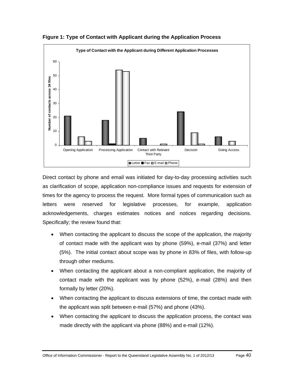

**Figure 1: Type of Contact with Applicant during the Application Process** 

Direct contact by phone and email was initiated for day-to-day processing activities such as clarification of scope, application non-compliance issues and requests for extension of times for the agency to process the request. More formal types of communication such as letters were reserved for legislative processes, for example, application acknowledgements, charges estimates notices and notices regarding decisions. Specifically; the review found that:

- When contacting the applicant to discuss the scope of the application, the majority of contact made with the applicant was by phone (59%), e-mail (37%) and letter (5%). The initial contact about scope was by phone in 83% of files, with follow-up through other mediums.
- When contacting the applicant about a non-compliant application, the majority of contact made with the applicant was by phone (52%), e-mail (28%) and then formally by letter (20%).
- When contacting the applicant to discuss extensions of time, the contact made with the applicant was split between e-mail (57%) and phone (43%).
- When contacting the applicant to discuss the application process, the contact was made directly with the applicant via phone (88%) and e-mail (12%).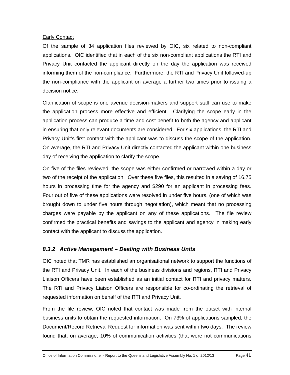### Early Contact

Of the sample of 34 application files reviewed by OIC, six related to non-compliant applications. OIC identified that in each of the six non-compliant applications the RTI and Privacy Unit contacted the applicant directly on the day the application was received informing them of the non-compliance. Furthermore, the RTI and Privacy Unit followed-up the non-compliance with the applicant on average a further two times prior to issuing a decision notice.

Clarification of scope is one avenue decision-makers and support staff can use to make the application process more effective and efficient. Clarifying the scope early in the application process can produce a time and cost benefit to both the agency and applicant in ensuring that only relevant documents are considered. For six applications, the RTI and Privacy Unit's first contact with the applicant was to discuss the scope of the application. On average, the RTI and Privacy Unit directly contacted the applicant within one business day of receiving the application to clarify the scope.

On five of the files reviewed, the scope was either confirmed or narrowed within a day or two of the receipt of the application. Over these five files, this resulted in a saving of 16.75 hours in processing time for the agency and \$290 for an applicant in processing fees. Four out of five of these applications were resolved in under five hours, (one of which was brought down to under five hours through negotiation), which meant that no processing charges were payable by the applicant on any of these applications. The file review confirmed the practical benefits and savings to the applicant and agency in making early contact with the applicant to discuss the application.

# *8.3.2 Active Management – Dealing with Business Units*

OIC noted that TMR has established an organisational network to support the functions of the RTI and Privacy Unit. In each of the business divisions and regions, RTI and Privacy Liaison Officers have been established as an initial contact for RTI and privacy matters. The RTI and Privacy Liaison Officers are responsible for co-ordinating the retrieval of requested information on behalf of the RTI and Privacy Unit.

From the file review, OIC noted that contact was made from the outset with internal business units to obtain the requested information. On 73% of applications sampled, the Document/Record Retrieval Request for information was sent within two days. The review found that, on average, 10% of communication activities (that were not communications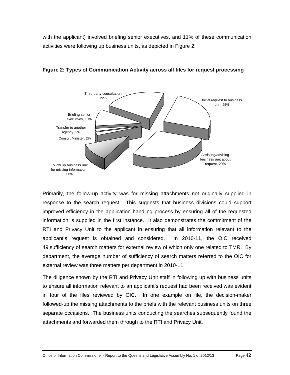with the applicant) involved briefing senior executives, and 11% of these communication activities were following up business units, as depicted in Figure 2.





Primarily, the follow-up activity was for missing attachments not originally supplied in response to the search request. This suggests that business divisions could support improved efficiency in the application handling process by ensuring all of the requested information is supplied in the first instance. It also demonstrates the commitment of the RTI and Privacy Unit to the applicant in ensuring that all information relevant to the applicant's request is obtained and considered. In 2010-11, the OIC received 49 sufficiency of search matters for external review of which only one related to TMR. By department, the average number of sufficiency of search matters referred to the OIC for external review was three matters per department in 2010-11.

The diligence shown by the RTI and Privacy Unit staff in following up with business units to ensure all information relevant to an applicant's request had been received was evident in four of the files reviewed by OIC. In one example on file, the decision-maker followed-up the missing attachments to the briefs with the relevant business units on three separate occasions. The business units conducting the searches subsequently found the attachments and forwarded them through to the RTI and Privacy Unit.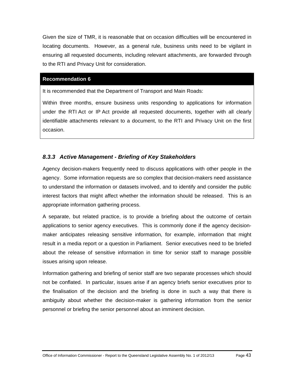Given the size of TMR, it is reasonable that on occasion difficulties will be encountered in locating documents. However, as a general rule, business units need to be vigilant in ensuring all requested documents, including relevant attachments, are forwarded through to the RTI and Privacy Unit for consideration.

### **Recommendation 6**

It is recommended that the Department of Transport and Main Roads:

Within three months, ensure business units responding to applications for information under the RTI Act or IP Act provide all requested documents, together with all clearly identifiable attachments relevant to a document, to the RTI and Privacy Unit on the first occasion.

# *8.3.3 Active Management - Briefing of Key Stakeholders*

Agency decision-makers frequently need to discuss applications with other people in the agency. Some information requests are so complex that decision-makers need assistance to understand the information or datasets involved, and to identify and consider the public interest factors that might affect whether the information should be released. This is an appropriate information gathering process.

A separate, but related practice, is to provide a briefing about the outcome of certain applications to senior agency executives. This is commonly done if the agency decisionmaker anticipates releasing sensitive information, for example, information that might result in a media report or a question in Parliament. Senior executives need to be briefed about the release of sensitive information in time for senior staff to manage possible issues arising upon release.

Information gathering and briefing of senior staff are two separate processes which should not be conflated. In particular, issues arise if an agency briefs senior executives prior to the finalisation of the decision and the briefing is done in such a way that there is ambiguity about whether the decision-maker is gathering information from the senior personnel or briefing the senior personnel about an imminent decision.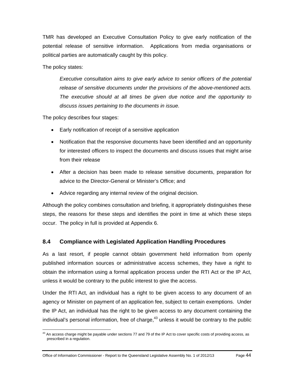TMR has developed an Executive Consultation Policy to give early notification of the potential release of sensitive information. Applications from media organisations or political parties are automatically caught by this policy.

The policy states:

*Executive consultation aims to give early advice to senior officers of the potential release of sensitive documents under the provisions of the above-mentioned acts. The executive should at all times be given due notice and the opportunity to discuss issues pertaining to the documents in issue.* 

The policy describes four stages:

- Early notification of receipt of a sensitive application
- Notification that the responsive documents have been identified and an opportunity for interested officers to inspect the documents and discuss issues that might arise from their release
- After a decision has been made to release sensitive documents, preparation for advice to the Director-General or Minister's Office; and
- Advice regarding any internal review of the original decision.

Although the policy combines consultation and briefing, it appropriately distinguishes these steps, the reasons for these steps and identifies the point in time at which these steps occur. The policy in full is provided at Appendix 6.

# **8.4 Compliance with Legislated Application Handling Procedures**

As a last resort, if people cannot obtain government held information from openly published information sources or administrative access schemes, they have a right to obtain the information using a formal application process under the RTI Act or the IP Act, unless it would be contrary to the public interest to give the access.

Under the RTI Act, an individual has a right to be given access to any document of an agency or Minister on payment of an application fee, subject to certain exemptions. Under the IP Act, an individual has the right to be given access to any document containing the individual's personal information, free of charge,  $43$  unless it would be contrary to the public

 $\overline{a}$  $43$  An access charge might be payable under sections 77 and 79 of the IP Act to cover specific costs of providing access, as prescribed in a regulation.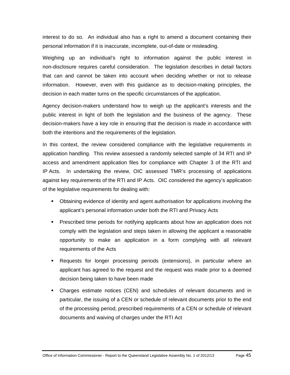interest to do so. An individual also has a right to amend a document containing their personal information if it is inaccurate, incomplete, out-of-date or misleading.

Weighing up an individual's right to information against the public interest in non-disclosure requires careful consideration. The legislation describes in detail factors that can and cannot be taken into account when deciding whether or not to release information. However, even with this guidance as to decision-making principles, the decision in each matter turns on the specific circumstances of the application.

Agency decision-makers understand how to weigh up the applicant's interests and the public interest in light of both the legislation and the business of the agency. These decision-makers have a key role in ensuring that the decision is made in accordance with both the intentions and the requirements of the legislation.

In this context, the review considered compliance with the legislative requirements in application handling. This review assessed a randomly selected sample of 34 RTI and IP access and amendment application files for compliance with Chapter 3 of the RTI and IP Acts. In undertaking the review, OIC assessed TMR's processing of applications against key requirements of the RTI and IP Acts. OIC considered the agency's application of the legislative requirements for dealing with:

- Obtaining evidence of identity and agent authorisation for applications involving the applicant's personal information under both the RTI and Privacy Acts
- Prescribed time periods for notifying applicants about how an application does not comply with the legislation and steps taken in allowing the applicant a reasonable opportunity to make an application in a form complying with all relevant requirements of the Acts
- Requests for longer processing periods (extensions), in particular where an applicant has agreed to the request and the request was made prior to a deemed decision being taken to have been made
- Charges estimate notices (CEN) and schedules of relevant documents and in particular, the issuing of a CEN or schedule of relevant documents prior to the end of the processing period, prescribed requirements of a CEN or schedule of relevant documents and waiving of charges under the RTI Act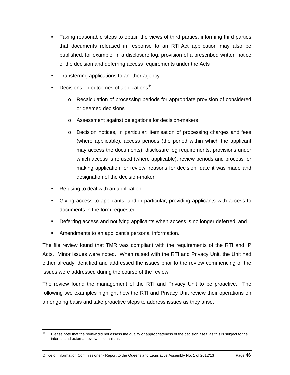- Taking reasonable steps to obtain the views of third parties, informing third parties that documents released in response to an RTI Act application may also be published, for example, in a disclosure log, provision of a prescribed written notice of the decision and deferring access requirements under the Acts
- **Transferring applications to another agency**
- **Decisions on outcomes of applications**<sup>44</sup>
	- o Recalculation of processing periods for appropriate provision of considered or deemed decisions
	- o Assessment against delegations for decision-makers
	- o Decision notices, in particular: itemisation of processing charges and fees (where applicable), access periods (the period within which the applicant may access the documents), disclosure log requirements, provisions under which access is refused (where applicable), review periods and process for making application for review, reasons for decision, date it was made and designation of the decision-maker
- Refusing to deal with an application
- Giving access to applicants, and in particular, providing applicants with access to documents in the form requested
- Deferring access and notifying applicants when access is no longer deferred; and
- Amendments to an applicant's personal information.

The file review found that TMR was compliant with the requirements of the RTI and IP Acts. Minor issues were noted. When raised with the RTI and Privacy Unit, the Unit had either already identified and addressed the issues prior to the review commencing or the issues were addressed during the course of the review.

The review found the management of the RTI and Privacy Unit to be proactive. The following two examples highlight how the RTI and Privacy Unit review their operations on an ongoing basis and take proactive steps to address issues as they arise.

<sup>44</sup> Please note that the review did not assess the quality or appropriateness of the decision itself, as this is subject to the internal and external review mechanisms.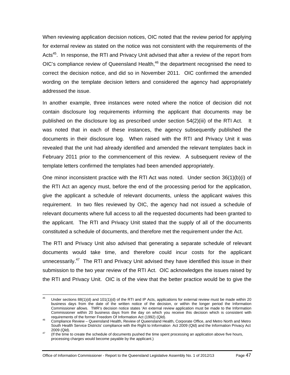When reviewing application decision notices, OIC noted that the review period for applying for external review as stated on the notice was not consistent with the requirements of the Acts<sup>45</sup>. In response, the RTI and Privacy Unit advised that after a review of the report from  $OIC$ 's compliance review of Queensland Health, $46$  the department recognised the need to correct the decision notice, and did so in November 2011. OIC confirmed the amended wording on the template decision letters and considered the agency had appropriately addressed the issue.

In another example, three instances were noted where the notice of decision did not contain disclosure log requirements informing the applicant that documents may be published on the disclosure log as prescribed under section 54(2)(iii) of the RTI Act. It was noted that in each of these instances, the agency subsequently published the documents in their disclosure log. When raised with the RTI and Privacy Unit it was revealed that the unit had already identified and amended the relevant templates back in February 2011 prior to the commencement of this review. A subsequent review of the template letters confirmed the templates had been amended appropriately.

One minor inconsistent practice with the RTI Act was noted. Under section 36(1)(b)(i) of the RTI Act an agency must, before the end of the processing period for the application, give the applicant a schedule of relevant documents, unless the applicant waives this requirement. In two files reviewed by OIC, the agency had not issued a schedule of relevant documents where full access to all the requested documents had been granted to the applicant. The RTI and Privacy Unit stated that the supply of all of the documents constituted a schedule of documents, and therefore met the requirement under the Act.

The RTI and Privacy Unit also advised that generating a separate schedule of relevant documents would take time, and therefore could incur costs for the applicant unnecessarily.<sup>47</sup> The RTI and Privacy Unit advised they have identified this issue in their submission to the two year review of the RTI Act. OIC acknowledges the issues raised by the RTI and Privacy Unit. OIC is of the view that the better practice would be to give the

Office of Information Commissioner - Report to the Queensland Legislative Assembly No. 1 of 2012/13 Page 47

<sup>45</sup> Under sections 88(1)(d) and 101(1)(d) of the RTI and IP Acts, applications for external review must be made within 20 business days from the date of the written notice of the decision, or within the longer period the Information Commissioner allows. TMR's decision notice states 'An external review application must be made to the Information Commissioner within 20 business days from the day on which you receive this decision which is consistent with requirements of the former Freedom Of Information Act (1992) (Qld).

requirements of the former Freedom Of Information Act (1992) (Sign).<br><sup>46</sup> Compliance Review – Queensland Health, Review of Queensland Health, Corporate Office, and Metro North and Metro South Health Service Districts' compliance with the Right to Information Act 2009 (Qld) and the Information Privacy Act 2009 (Qld).<br><sup>47</sup> (If the time to create the schedule of documents pushed the time spent processing an application above five hours,

processing charges would become payable by the applicant.)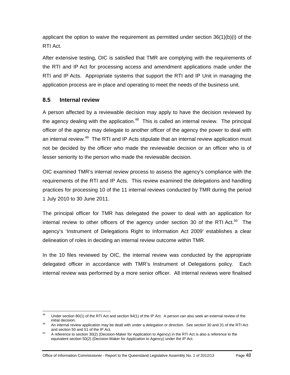applicant the option to waive the requirement as permitted under section 36(1)(b)(i) of the RTI Act.

After extensive testing, OIC is satisfied that TMR are complying with the requirements of the RTI and IP Act for processing access and amendment applications made under the RTI and IP Acts. Appropriate systems that support the RTI and IP Unit in managing the application process are in place and operating to meet the needs of the business unit.

# **8.5 Internal review**

A person affected by a reviewable decision may apply to have the decision reviewed by the agency dealing with the application.<sup>48</sup> This is called an internal review. The principal officer of the agency may delegate to another officer of the agency the power to deal with an internal review.<sup>49</sup> The RTI and IP Acts stipulate that an internal review application must not be decided by the officer who made the reviewable decision or an officer who is of lesser seniority to the person who made the reviewable decision.

OIC examined TMR's internal review process to assess the agency's compliance with the requirements of the RTI and IP Acts. This review examined the delegations and handling practices for processing 10 of the 11 internal reviews conducted by TMR during the period 1 July 2010 to 30 June 2011.

The principal officer for TMR has delegated the power to deal with an application for internal review to other officers of the agency under section 30 of the RTI Act. $50$  The agency's 'Instrument of Delegations Right to Information Act 2009' establishes a clear delineation of roles in deciding an internal review outcome within TMR.

In the 10 files reviewed by OIC, the internal review was conducted by the appropriate delegated officer in accordance with TMR's Instrument of Delegations policy. Each internal review was performed by a more senior officer. All internal reviews were finalised

<sup>48</sup> Under section 80(1) of the RTI Act and section 94(1) of the IP Act. A person can also seek an external review of the initial decision.

 $49$  An internal review application may be dealt with under a delegation or direction. See section 30 and 31 of the RTI Act and section 50 and 51 of the IP Act.<br><sup>50</sup> A reference to section 30(2) (Decision-Maker for Application to Agency) in the RTI Act is also a reference to the

equivalent section 50(2) (Decision-Maker for Application to Agency) under the IP Act.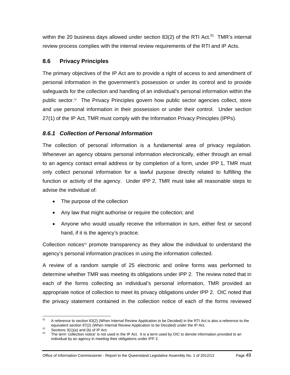within the 20 business days allowed under section 83(2) of the RTI Act.<sup>51</sup> TMR's internal review process complies with the internal review requirements of the RTI and IP Acts.

# **8.6 Privacy Principles**

The primary objectives of the IP Act are to provide a right of access to and amendment of personal information in the government's possession or under its control and to provide safeguards for the collection and handling of an individual's personal information within the public sector.52 The Privacy Principles govern how public sector agencies collect, store and use personal information in their possession or under their control. Under section 27(1) of the IP Act, TMR must comply with the Information Privacy Principles (IPPs).

# *8.6.1 Collection of Personal Information*

The collection of personal information is a fundamental area of privacy regulation. Whenever an agency obtains personal information electronically, either through an email to an agency contact email address or by completion of a form, under IPP 1, TMR must only collect personal information for a lawful purpose directly related to fulfilling the function or activity of the agency. Under IPP 2, TMR must take all reasonable steps to advise the individual of:

- The purpose of the collection
- Any law that might authorise or require the collection; and
- Anyone who would usually receive the information in turn, either first or second hand, if it is the agency's practice.

Collection notices $53$  promote transparency as they allow the individual to understand the agency's personal information practices in using the information collected.

A review of a random sample of 25 electronic and online forms was performed to determine whether TMR was meeting its obligations under IPP 2. The review noted that in each of the forms collecting an individual's personal information, TMR provided an appropriate notice of collection to meet its privacy obligations under IPP 2. OIC noted that the privacy statement contained in the collection notice of each of the forms reviewed

 $51$ A reference to section 83(2) (When Internal Review Application to be Decided) in the RTI Act is also a reference to the equivalent section 97(2) (When Internal Review Application to be Decided) under the IP Act.

 $^{52}$  Sections 3(1)(a) and (b) of IP Act.<br> $^{52}$  The term 'collection notice' is not used in the IP Act. It is a term used by OIC to denote information provided to an individual by an agency in meeting their obligations under IPP 2.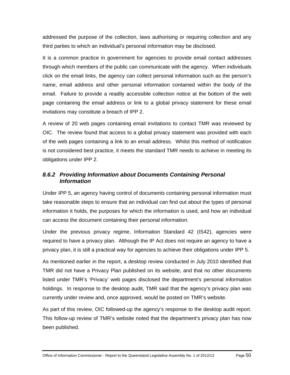addressed the purpose of the collection, laws authorising or requiring collection and any third parties to which an individual's personal information may be disclosed.

It is a common practice in government for agencies to provide email contact addresses through which members of the public can communicate with the agency. When individuals click on the email links, the agency can collect personal information such as the person's name, email address and other personal information contained within the body of the email. Failure to provide a readily accessible collection notice at the bottom of the web page containing the email address or link to a global privacy statement for these email invitations may constitute a breach of IPP 2.

A review of 20 web pages containing email invitations to contact TMR was reviewed by OIC. The review found that access to a global privacy statement was provided with each of the web pages containing a link to an email address. Whilst this method of notification is not considered best practice, it meets the standard TMR needs to achieve in meeting its obligations under IPP 2.

# *8.6.2 Providing Information about Documents Containing Personal Information*

Under IPP 5, an agency having control of documents containing personal information must take reasonable steps to ensure that an individual can find out about the types of personal information it holds, the purposes for which the information is used, and how an individual can access the document containing their personal information.

Under the previous privacy regime, Information Standard 42 (IS42), agencies were required to have a privacy plan. Although the IP Act does not require an agency to have a privacy plan, it is still a practical way for agencies to achieve their obligations under IPP 5.

As mentioned earlier in the report, a desktop review conducted in July 2010 identified that TMR did not have a Privacy Plan published on its website, and that no other documents listed under TMR's 'Privacy' web pages disclosed the department's personal information holdings. In response to the desktop audit, TMR said that the agency's privacy plan was currently under review and, once approved, would be posted on TMR's website.

As part of this review, OIC followed-up the agency's response to the desktop audit report. This follow-up review of TMR's website noted that the department's privacy plan has now been published.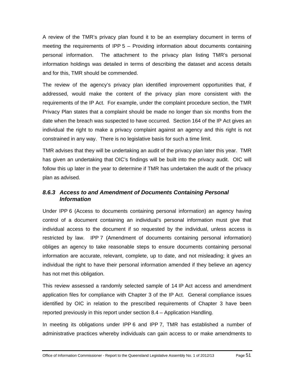A review of the TMR's privacy plan found it to be an exemplary document in terms of meeting the requirements of IPP 5 – Providing information about documents containing personal information. The attachment to the privacy plan listing TMR's personal information holdings was detailed in terms of describing the dataset and access details and for this, TMR should be commended.

The review of the agency's privacy plan identified improvement opportunities that, if addressed, would make the content of the privacy plan more consistent with the requirements of the IP Act. For example, under the complaint procedure section, the TMR Privacy Plan states that a complaint should be made no longer than six months from the date when the breach was suspected to have occurred. Section 164 of the IP Act gives an individual the right to make a privacy complaint against an agency and this right is not constrained in any way. There is no legislative basis for such a time limit.

TMR advises that they will be undertaking an audit of the privacy plan later this year. TMR has given an undertaking that OIC's findings will be built into the privacy audit. OIC will follow this up later in the year to determine if TMR has undertaken the audit of the privacy plan as advised.

# *8.6.3 Access to and Amendment of Documents Containing Personal Information*

Under IPP 6 (Access to documents containing personal information) an agency having control of a document containing an individual's personal information must give that individual access to the document if so requested by the individual, unless access is restricted by law. IPP 7 (Amendment of documents containing personal information) obliges an agency to take reasonable steps to ensure documents containing personal information are accurate, relevant, complete, up to date, and not misleading; it gives an individual the right to have their personal information amended if they believe an agency has not met this obligation.

This review assessed a randomly selected sample of 14 IP Act access and amendment application files for compliance with Chapter 3 of the IP Act. General compliance issues identified by OIC in relation to the prescribed requirements of Chapter 3 have been reported previously in this report under section 8.4 – Application Handling.

In meeting its obligations under IPP 6 and IPP 7, TMR has established a number of administrative practices whereby individuals can gain access to or make amendments to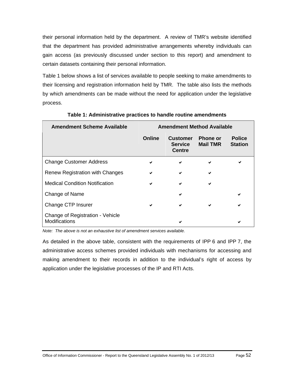their personal information held by the department. A review of TMR's website identified that the department has provided administrative arrangements whereby individuals can gain access (as previously discussed under section to this report) and amendment to certain datasets containing their personal information.

Table 1 below shows a list of services available to people seeking to make amendments to their licensing and registration information held by TMR. The table also lists the methods by which amendments can be made without the need for application under the legislative process.

| <b>Amendment Scheme Available</b>                        | <b>Amendment Method Available</b> |                                                    |                                    |                                 |
|----------------------------------------------------------|-----------------------------------|----------------------------------------------------|------------------------------------|---------------------------------|
|                                                          | Online                            | <b>Customer</b><br><b>Service</b><br><b>Centre</b> | <b>Phone or</b><br><b>Mail TMR</b> | <b>Police</b><br><b>Station</b> |
| <b>Change Customer Address</b>                           | ✔                                 | $\checkmark$                                       | ✔                                  |                                 |
| <b>Renew Registration with Changes</b>                   | ✔                                 | ✔                                                  | ✔                                  |                                 |
| <b>Medical Condition Notification</b>                    | ✔                                 | ✔                                                  | ✔                                  |                                 |
| Change of Name                                           |                                   | ✔                                                  |                                    | ✔                               |
| Change CTP Insurer                                       | ✔                                 | ✔                                                  | ✔                                  |                                 |
| Change of Registration - Vehicle<br><b>Modifications</b> |                                   | ✔                                                  |                                    |                                 |

**Table 1: Administrative practices to handle routine amendments** 

*Note: The above is not an exhaustive list of amendment services available.* 

As detailed in the above table, consistent with the requirements of IPP 6 and IPP 7, the administrative access schemes provided individuals with mechanisms for accessing and making amendment to their records in addition to the individual's right of access by application under the legislative processes of the IP and RTI Acts.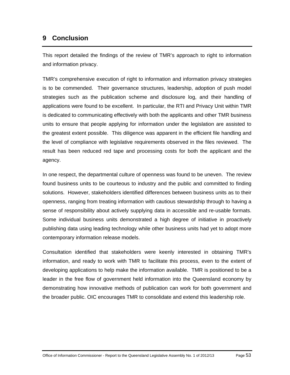# **9 Conclusion**

This report detailed the findings of the review of TMR's approach to right to information and information privacy.

TMR's comprehensive execution of right to information and information privacy strategies is to be commended. Their governance structures, leadership, adoption of push model strategies such as the publication scheme and disclosure log, and their handling of applications were found to be excellent. In particular, the RTI and Privacy Unit within TMR is dedicated to communicating effectively with both the applicants and other TMR business units to ensure that people applying for information under the legislation are assisted to the greatest extent possible. This diligence was apparent in the efficient file handling and the level of compliance with legislative requirements observed in the files reviewed. The result has been reduced red tape and processing costs for both the applicant and the agency.

In one respect, the departmental culture of openness was found to be uneven. The review found business units to be courteous to industry and the public and committed to finding solutions. However, stakeholders identified differences between business units as to their openness, ranging from treating information with cautious stewardship through to having a sense of responsibility about actively supplying data in accessible and re-usable formats. Some individual business units demonstrated a high degree of initiative in proactively publishing data using leading technology while other business units had yet to adopt more contemporary information release models.

Consultation identified that stakeholders were keenly interested in obtaining TMR's information, and ready to work with TMR to facilitate this process, even to the extent of developing applications to help make the information available. TMR is positioned to be a leader in the free flow of government held information into the Queensland economy by demonstrating how innovative methods of publication can work for both government and the broader public. OIC encourages TMR to consolidate and extend this leadership role.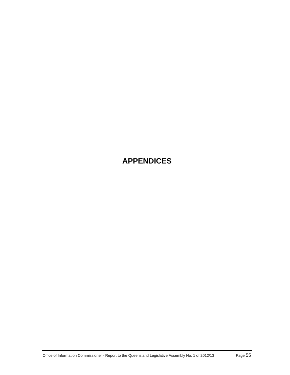# **APPENDICES**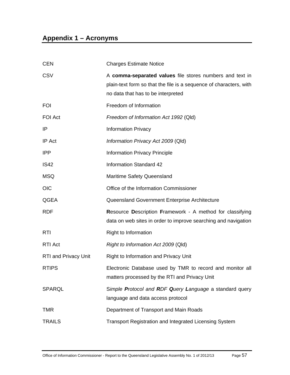# **Appendix 1 – Acronyms**

| <b>CEN</b>                  | <b>Charges Estimate Notice</b>                                                                                                                                       |
|-----------------------------|----------------------------------------------------------------------------------------------------------------------------------------------------------------------|
| CSV                         | A comma-separated values file stores numbers and text in<br>plain-text form so that the file is a sequence of characters, with<br>no data that has to be interpreted |
| <b>FOI</b>                  | Freedom of Information                                                                                                                                               |
| <b>FOI Act</b>              | Freedom of Information Act 1992 (Qld)                                                                                                                                |
| IP                          | <b>Information Privacy</b>                                                                                                                                           |
| <b>IP</b> Act               | Information Privacy Act 2009 (Qld)                                                                                                                                   |
| <b>IPP</b>                  | <b>Information Privacy Principle</b>                                                                                                                                 |
| <b>IS42</b>                 | <b>Information Standard 42</b>                                                                                                                                       |
| <b>MSQ</b>                  | Maritime Safety Queensland                                                                                                                                           |
| <b>OIC</b>                  | Office of the Information Commissioner                                                                                                                               |
| QGEA                        | Queensland Government Enterprise Architecture                                                                                                                        |
| <b>RDF</b>                  | <b>Resource Description Framework - A method for classifying</b><br>data on web sites in order to improve searching and navigation                                   |
| <b>RTI</b>                  | Right to Information                                                                                                                                                 |
| <b>RTI Act</b>              | Right to Information Act 2009 (Qld)                                                                                                                                  |
| <b>RTI and Privacy Unit</b> | Right to Information and Privacy Unit                                                                                                                                |
| <b>RTIPS</b>                | Electronic Database used by TMR to record and monitor all<br>matters processed by the RTI and Privacy Unit                                                           |
| <b>SPARQL</b>               | Simple Protocol and RDF Query Language a standard query<br>language and data access protocol                                                                         |
| <b>TMR</b>                  | Department of Transport and Main Roads                                                                                                                               |
| <b>TRAILS</b>               | <b>Transport Registration and Integrated Licensing System</b>                                                                                                        |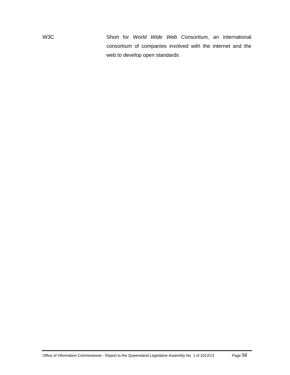W3C Short for *World Wide Web Consortium,* an international consortium of companies involved with the internet and the web to develop open standards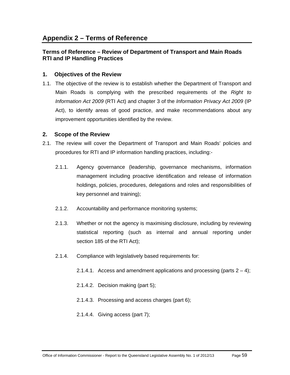# **Appendix 2 – Terms of Reference**

### **Terms of Reference – Review of Department of Transport and Main Roads RTI and IP Handling Practices**

### **1. Objectives of the Review**

1.1. The objective of the review is to establish whether the Department of Transport and Main Roads is complying with the prescribed requirements of the *Right to Information Act 2009* (RTI Act) and chapter 3 of the *Information Privacy Act 2009* (IP Act), to identify areas of good practice, and make recommendations about any improvement opportunities identified by the review.

### **2. Scope of the Review**

- 2.1. The review will cover the Department of Transport and Main Roads' policies and procedures for RTI and IP information handling practices, including:-
	- 2.1.1. Agency governance (leadership, governance mechanisms, information management including proactive identification and release of information holdings, policies, procedures, delegations and roles and responsibilities of key personnel and training);
	- 2.1.2. Accountability and performance monitoring systems;
	- 2.1.3. Whether or not the agency is maximising disclosure, including by reviewing statistical reporting (such as internal and annual reporting under section 185 of the RTI Act);
	- 2.1.4. Compliance with legislatively based requirements for:
		- 2.1.4.1. Access and amendment applications and processing (parts  $2 4$ );
		- 2.1.4.2. Decision making (part 5);
		- 2.1.4.3. Processing and access charges (part 6);
		- 2.1.4.4. Giving access (part 7);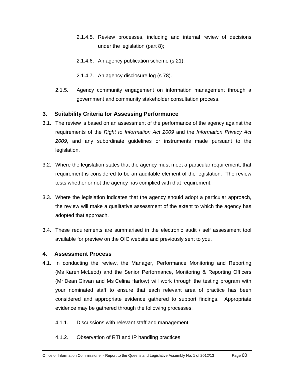- 2.1.4.5. Review processes, including and internal review of decisions under the legislation (part 8);
- 2.1.4.6. An agency publication scheme (s 21);
- 2.1.4.7. An agency disclosure log (s 78).
- 2.1.5. Agency community engagement on information management through a government and community stakeholder consultation process.

### **3. Suitability Criteria for Assessing Performance**

- 3.1. The review is based on an assessment of the performance of the agency against the requirements of the *Right to Information Act 2009* and the *Information Privacy Act 2009*, and any subordinate guidelines or instruments made pursuant to the legislation.
- 3.2. Where the legislation states that the agency must meet a particular requirement, that requirement is considered to be an auditable element of the legislation. The review tests whether or not the agency has complied with that requirement.
- 3.3. Where the legislation indicates that the agency should adopt a particular approach, the review will make a qualitative assessment of the extent to which the agency has adopted that approach.
- 3.4. These requirements are summarised in the electronic audit / self assessment tool available for preview on the OIC website and previously sent to you.

### **4. Assessment Process**

- 4.1. In conducting the review, the Manager, Performance Monitoring and Reporting (Ms Karen McLeod) and the Senior Performance, Monitoring & Reporting Officers (Mr Dean Girvan and Ms Celina Harlow) will work through the testing program with your nominated staff to ensure that each relevant area of practice has been considered and appropriate evidence gathered to support findings. Appropriate evidence may be gathered through the following processes:
	- 4.1.1. Discussions with relevant staff and management;
	- 4.1.2. Observation of RTI and IP handling practices;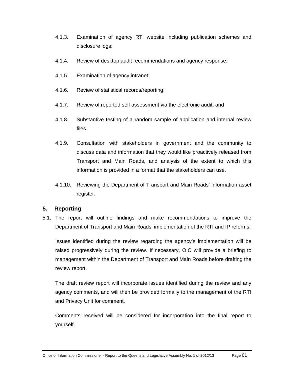- 4.1.3. Examination of agency RTI website including publication schemes and disclosure logs;
- 4.1.4. Review of desktop audit recommendations and agency response;
- 4.1.5. Examination of agency intranet;
- 4.1.6. Review of statistical records/reporting;
- 4.1.7. Review of reported self assessment via the electronic audit; and
- 4.1.8. Substantive testing of a random sample of application and internal review files.
- 4.1.9. Consultation with stakeholders in government and the community to discuss data and information that they would like proactively released from Transport and Main Roads, and analysis of the extent to which this information is provided in a format that the stakeholders can use.
- 4.1.10. Reviewing the Department of Transport and Main Roads' information asset register.

### **5. Reporting**

5.1. The report will outline findings and make recommendations to improve the Department of Transport and Main Roads' implementation of the RTI and IP reforms.

Issues identified during the review regarding the agency's implementation will be raised progressively during the review. If necessary, OIC will provide a briefing to management within the Department of Transport and Main Roads before drafting the review report.

The draft review report will incorporate issues identified during the review and any agency comments, and will then be provided formally to the management of the RTI and Privacy Unit for comment.

Comments received will be considered for incorporation into the final report to yourself.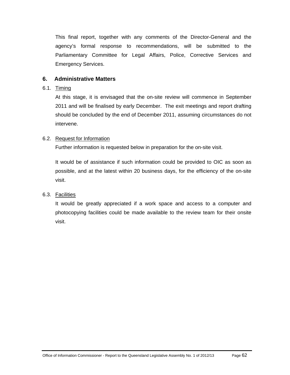This final report, together with any comments of the Director-General and the agency's formal response to recommendations, will be submitted to the Parliamentary Committee for Legal Affairs, Police, Corrective Services and Emergency Services.

### **6. Administrative Matters**

#### 6.1. Timing

At this stage, it is envisaged that the on-site review will commence in September 2011 and will be finalised by early December. The exit meetings and report drafting should be concluded by the end of December 2011, assuming circumstances do not intervene.

### 6.2. Request for Information

Further information is requested below in preparation for the on-site visit.

It would be of assistance if such information could be provided to OIC as soon as possible, and at the latest within 20 business days, for the efficiency of the on-site visit.

### 6.3. Facilities

It would be greatly appreciated if a work space and access to a computer and photocopying facilities could be made available to the review team for their onsite visit.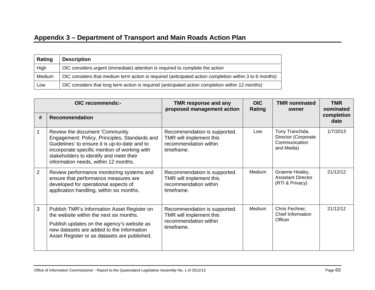# **Appendix 3 – Department of Transport and Main Roads Action Plan**

| Rating | <b>Description</b>                                                                                     |
|--------|--------------------------------------------------------------------------------------------------------|
| High   | OIC considers urgent (immediate) attention is required to complete the action                          |
| Medium | OIC considers that medium term action is required (anticipated action completion within 3 to 6 months) |
| Low    | OIC considers that long term action is required (anticipated action completion within 12 months)       |

| OIC recommends:- |                                                                                                                                                                                                                                                                     | <b>TMR response and any</b><br>proposed management action                                      | <b>OIC</b><br>Rating | <b>TMR nominated</b><br>owner                                         | <b>TMR</b><br>nominated |
|------------------|---------------------------------------------------------------------------------------------------------------------------------------------------------------------------------------------------------------------------------------------------------------------|------------------------------------------------------------------------------------------------|----------------------|-----------------------------------------------------------------------|-------------------------|
| #                | <b>Recommendation</b>                                                                                                                                                                                                                                               |                                                                                                |                      |                                                                       | completion<br>date      |
|                  | Review the document 'Community<br>Engagement: Policy, Principles, Standards and<br>Guidelines' to ensure it is up-to-date and to<br>incorporate specific mention of working with<br>stakeholders to identify and meet their<br>information needs, within 12 months. | Recommendation is supported.<br>TMR will implement this<br>recommendation within<br>timeframe. | Low                  | Tony Tranchida,<br>Director (Corporate<br>Communication<br>and Media) | 1/7/2013                |
| $\overline{2}$   | Review performance monitoring systems and<br>ensure that performance measures are<br>developed for operational aspects of<br>application handling, within six months.                                                                                               | Recommendation is supported.<br>TMR will implement this<br>recommendation within<br>timeframe. | Medium               | Graeme Healey,<br><b>Assistant Director</b><br>(RTI & Privacy)        | 21/12/12                |
| 3                | Publish TMR's Information Asset Register on<br>the website within the next six months.<br>Publish updates on the agency's website as<br>new datasets are added to the Information<br>Asset Register or as datasets are published.                                   | Recommendation is supported.<br>TMR will implement this<br>recommendation within<br>timeframe. | Medium               | Chris Fechner,<br>Chief Information<br>Officer                        | 21/12/12                |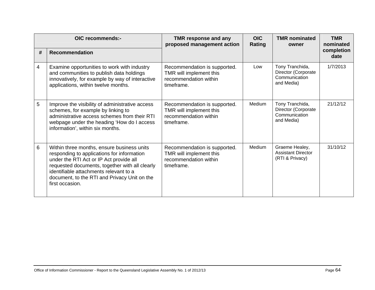| OIC recommends:- |                                                                                                                                                                                                                                                                                                    | TMR response and any<br>proposed management action                                             | <b>OIC</b><br>Rating | <b>TMR</b> nominated<br>owner                                         | <b>TMR</b><br>nominated |
|------------------|----------------------------------------------------------------------------------------------------------------------------------------------------------------------------------------------------------------------------------------------------------------------------------------------------|------------------------------------------------------------------------------------------------|----------------------|-----------------------------------------------------------------------|-------------------------|
| #                | <b>Recommendation</b>                                                                                                                                                                                                                                                                              |                                                                                                |                      |                                                                       | completion<br>date      |
| 4                | Examine opportunities to work with industry<br>and communities to publish data holdings<br>innovatively, for example by way of interactive<br>applications, within twelve months.                                                                                                                  | Recommendation is supported.<br>TMR will implement this<br>recommendation within<br>timeframe. | Low                  | Tony Tranchida,<br>Director (Corporate<br>Communication<br>and Media) | 1/7/2013                |
| 5                | Improve the visibility of administrative access<br>schemes, for example by linking to<br>administrative access schemes from their RTI<br>webpage under the heading 'How do I access<br>information', within six months.                                                                            | Recommendation is supported.<br>TMR will implement this<br>recommendation within<br>timeframe. | Medium               | Tony Tranchida,<br>Director (Corporate<br>Communication<br>and Media) | 21/12/12                |
| 6                | Within three months, ensure business units<br>responding to applications for information<br>under the RTI Act or IP Act provide all<br>requested documents, together with all clearly<br>identifiable attachments relevant to a<br>document, to the RTI and Privacy Unit on the<br>first occasion. | Recommendation is supported.<br>TMR will implement this<br>recommendation within<br>timeframe. | Medium               | Graeme Healey,<br><b>Assistant Director</b><br>(RTI & Privacy)        | 31/10/12                |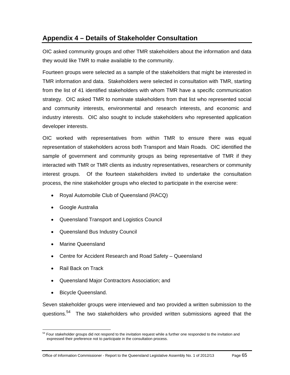# **Appendix 4 – Details of Stakeholder Consultation**

OIC asked community groups and other TMR stakeholders about the information and data they would like TMR to make available to the community.

Fourteen groups were selected as a sample of the stakeholders that might be interested in TMR information and data. Stakeholders were selected in consultation with TMR, starting from the list of 41 identified stakeholders with whom TMR have a specific communication strategy. OIC asked TMR to nominate stakeholders from that list who represented social and community interests, environmental and research interests, and economic and industry interests. OIC also sought to include stakeholders who represented application developer interests.

OIC worked with representatives from within TMR to ensure there was equal representation of stakeholders across both Transport and Main Roads. OIC identified the sample of government and community groups as being representative of TMR if they interacted with TMR or TMR clients as industry representatives, researchers or community interest groups. Of the fourteen stakeholders invited to undertake the consultation process, the nine stakeholder groups who elected to participate in the exercise were:

- Royal Automobile Club of Queensland (RACQ)
- Google Australia
- Queensland Transport and Logistics Council
- Queensland Bus Industry Council
- Marine Queensland
- Centre for Accident Research and Road Safety Queensland
- Rail Back on Track
- Queensland Major Contractors Association; and
- Bicycle Queensland.

Seven stakeholder groups were interviewed and two provided a written submission to the questions.<sup>54</sup> The two stakeholders who provided written submissions agreed that the

 $\overline{a}$ <sup>54</sup> Four stakeholder groups did not respond to the invitation request while a further one responded to the invitation and expressed their preference not to participate in the consultation process.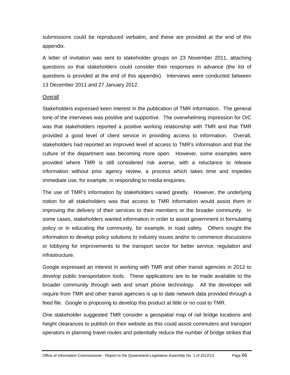submissions could be reproduced verbatim, and these are provided at the end of this appendix.

A letter of invitation was sent to stakeholder groups on 23 November 2011, attaching questions so that stakeholders could consider their responses in advance (the list of questions is provided at the end of this appendix). Interviews were conducted between 13 December 2011 and 27 January 2012.

#### **Overall**

Stakeholders expressed keen interest in the publication of TMR information. The general tone of the interviews was positive and supportive. The overwhelming impression for OIC was that stakeholders reported a positive working relationship with TMR and that TMR provided a good level of client service in providing access to information. Overall, stakeholders had reported an improved level of access to TMR's information and that the culture of the department was becoming more open. However, some examples were provided where TMR is still considered risk averse, with a reluctance to release information without prior agency review, a process which takes time and impedes immediate use, for example, in responding to media enquiries.

The use of TMR's information by stakeholders varied greatly. However, the underlying notion for all stakeholders was that access to TMR information would assist them in improving the delivery of their services to their members or the broader community. In some cases, stakeholders wanted information in order to assist government in formulating policy or in educating the community, for example, in road safety. Others sought the information to develop policy solutions to industry issues and/or to commence discussions or lobbying for improvements to the transport sector for better service, regulation and infrastructure.

Google expressed an interest in working with TMR and other transit agencies in 2012 to develop public transportation tools. These applications are to be made available to the broader community through web and smart phone technology. All the developer will require from TMR and other transit agencies is up to date network data provided through a feed file. Google is proposing to develop this product at little or no cost to TMR.

One stakeholder suggested TMR consider a geospatial map of rail bridge locations and height clearances to publish on their website as this could assist commuters and transport operators in planning travel routes and potentially reduce the number of bridge strikes that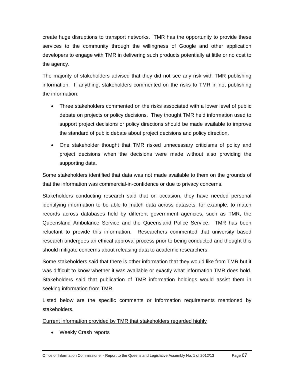create huge disruptions to transport networks. TMR has the opportunity to provide these services to the community through the willingness of Google and other application developers to engage with TMR in delivering such products potentially at little or no cost to the agency.

The majority of stakeholders advised that they did not see any risk with TMR publishing information. If anything, stakeholders commented on the risks to TMR in not publishing the information:

- Three stakeholders commented on the risks associated with a lower level of public debate on projects or policy decisions. They thought TMR held information used to support project decisions or policy directions should be made available to improve the standard of public debate about project decisions and policy direction.
- One stakeholder thought that TMR risked unnecessary criticisms of policy and project decisions when the decisions were made without also providing the supporting data.

Some stakeholders identified that data was not made available to them on the grounds of that the information was commercial-in-confidence or due to privacy concerns.

Stakeholders conducting research said that on occasion, they have needed personal identifying information to be able to match data across datasets, for example, to match records across databases held by different government agencies, such as TMR, the Queensland Ambulance Service and the Queensland Police Service. TMR has been reluctant to provide this information. Researchers commented that university based research undergoes an ethical approval process prior to being conducted and thought this should mitigate concerns about releasing data to academic researchers.

Some stakeholders said that there is other information that they would like from TMR but it was difficult to know whether it was available or exactly what information TMR does hold. Stakeholders said that publication of TMR information holdings would assist them in seeking information from TMR.

Listed below are the specific comments or information requirements mentioned by stakeholders.

## Current information provided by TMR that stakeholders regarded highly

• Weekly Crash reports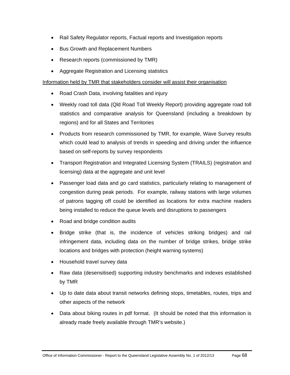- Rail Safety Regulator reports, Factual reports and Investigation reports
- Bus Growth and Replacement Numbers
- Research reports (commissioned by TMR)
- Aggregate Registration and Licensing statistics

## Information held by TMR that stakeholders consider will assist their organisation

- Road Crash Data, involving fatalities and injury
- Weekly road toll data (Qld Road Toll Weekly Report) providing aggregate road toll statistics and comparative analysis for Queensland (including a breakdown by regions) and for all States and Territories
- Products from research commissioned by TMR, for example, Wave Survey results which could lead to analysis of trends in speeding and driving under the influence based on self-reports by survey respondents
- Transport Registration and Integrated Licensing System (TRAILS) (registration and licensing) data at the aggregate and unit level
- Passenger load data and *go* card statistics, particularly relating to management of congestion during peak periods. For example, railway stations with large volumes of patrons tagging off could be identified as locations for extra machine readers being installed to reduce the queue levels and disruptions to passengers
- Road and bridge condition audits
- Bridge strike (that is, the incidence of vehicles striking bridges) and rail infringement data, including data on the number of bridge strikes, bridge strike locations and bridges with protection (height warning systems)
- Household travel survey data
- Raw data (desensitised) supporting industry benchmarks and indexes established by TMR
- Up to date data about transit networks defining stops, timetables, routes, trips and other aspects of the network
- Data about biking routes in pdf format. (It should be noted that this information is already made freely available through TMR's website.)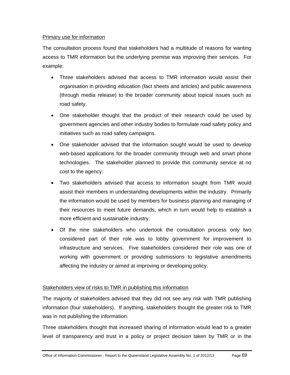## Primary use for information

The consultation process found that stakeholders had a multitude of reasons for wanting access to TMR information but the underlying premise was improving their services. For example:

- Three stakeholders advised that access to TMR information would assist their organisation in providing education (fact sheets and articles) and public awareness (through media release) to the broader community about topical issues such as road safety.
- One stakeholder thought that the product of their research could be used by government agencies and other industry bodies to formulate road safety policy and initiatives such as road safety campaigns.
- One stakeholder advised that the information sought would be used to develop web-based applications for the broader community through web and smart phone technologies. The stakeholder planned to provide this community service at no cost to the agency.
- Two stakeholders advised that access to information sought from TMR would assist their members in understanding developments within the industry. Primarily the information would be used by members for business planning and managing of their resources to meet future demands, which in turn would help to establish a more efficient and sustainable industry.
- Of the nine stakeholders who undertook the consultation process only two considered part of their role was to lobby government for improvement to infrastructure and services. Five stakeholders considered their role was one of working with government or providing submissions to legislative amendments affecting the industry or aimed at improving or developing policy.

## Stakeholders view of risks to TMR in publishing this information

The majority of stakeholders advised that they did not see any risk with TMR publishing information (four stakeholders). If anything, stakeholders thought the greater risk to TMR was in not publishing the information.

Three stakeholders thought that increased sharing of information would lead to a greater level of transparency and trust in a policy or project decision taken by TMR or in the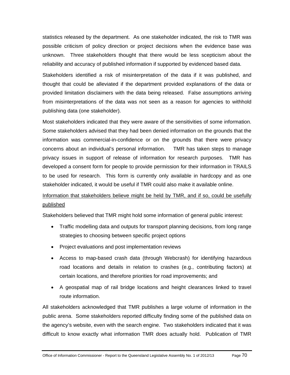statistics released by the department. As one stakeholder indicated, the risk to TMR was possible criticism of policy direction or project decisions when the evidence base was unknown. Three stakeholders thought that there would be less scepticism about the reliability and accuracy of published information if supported by evidenced based data.

Stakeholders identified a risk of misinterpretation of the data if it was published, and thought that could be alleviated if the department provided explanations of the data or provided limitation disclaimers with the data being released. False assumptions arriving from misinterpretations of the data was not seen as a reason for agencies to withhold publishing data (one stakeholder).

Most stakeholders indicated that they were aware of the sensitivities of some information. Some stakeholders advised that they had been denied information on the grounds that the information was commercial-in-confidence or on the grounds that there were privacy concerns about an individual's personal information. TMR has taken steps to manage privacy issues in support of release of information for research purposes. TMR has developed a consent form for people to provide permission for their information in TRAILS to be used for research. This form is currently only available in hardcopy and as one stakeholder indicated, it would be useful if TMR could also make it available online.

# Information that stakeholders believe might be held by TMR, and if so, could be usefully published

Stakeholders believed that TMR might hold some information of general public interest:

- Traffic modelling data and outputs for transport planning decisions, from long range strategies to choosing between specific project options
- Project evaluations and post implementation reviews
- Access to map-based crash data (through Webcrash) for identifying hazardous road locations and details in relation to crashes (e.g., contributing factors) at certain locations, and therefore priorities for road improvements; and
- A geospatial map of rail bridge locations and height clearances linked to travel route information.

All stakeholders acknowledged that TMR publishes a large volume of information in the public arena. Some stakeholders reported difficulty finding some of the published data on the agency's website, even with the search engine. Two stakeholders indicated that it was difficult to know exactly what information TMR does actually hold. Publication of TMR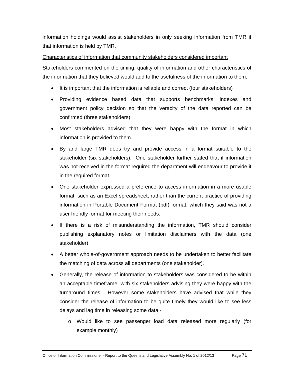information holdings would assist stakeholders in only seeking information from TMR if that information is held by TMR.

## Characteristics of information that community stakeholders considered important

Stakeholders commented on the timing, quality of information and other characteristics of the information that they believed would add to the usefulness of the information to them:

- It is important that the information is reliable and correct (four stakeholders)
- Providing evidence based data that supports benchmarks, indexes and government policy decision so that the veracity of the data reported can be confirmed (three stakeholders)
- Most stakeholders advised that they were happy with the format in which information is provided to them.
- By and large TMR does try and provide access in a format suitable to the stakeholder (six stakeholders). One stakeholder further stated that if information was not received in the format required the department will endeavour to provide it in the required format.
- One stakeholder expressed a preference to access information in a more usable format, such as an Excel spreadsheet, rather than the current practice of providing information in Portable Document Format (pdf) format, which they said was not a user friendly format for meeting their needs.
- If there is a risk of misunderstanding the information, TMR should consider publishing explanatory notes or limitation disclaimers with the data (one stakeholder).
- A better whole-of-government approach needs to be undertaken to better facilitate the matching of data across all departments (one stakeholder).
- Generally, the release of information to stakeholders was considered to be within an acceptable timeframe, with six stakeholders advising they were happy with the turnaround times. However some stakeholders have advised that while they consider the release of information to be quite timely they would like to see less delays and lag time in releasing some data
	- o Would like to see passenger load data released more regularly (for example monthly)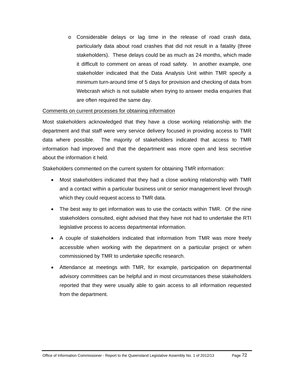o Considerable delays or lag time in the release of road crash data, particularly data about road crashes that did not result in a fatality (three stakeholders). These delays could be as much as 24 months, which made it difficult to comment on areas of road safety. In another example, one stakeholder indicated that the Data Analysis Unit within TMR specify a minimum turn-around time of 5 days for provision and checking of data from Webcrash which is not suitable when trying to answer media enquiries that are often required the same day.

## Comments on current processes for obtaining information

Most stakeholders acknowledged that they have a close working relationship with the department and that staff were very service delivery focused in providing access to TMR data where possible. The majority of stakeholders indicated that access to TMR information had improved and that the department was more open and less secretive about the information it held.

Stakeholders commented on the current system for obtaining TMR information:

- Most stakeholders indicated that they had a close working relationship with TMR and a contact within a particular business unit or senior management level through which they could request access to TMR data.
- The best way to get information was to use the contacts within TMR. Of the nine stakeholders consulted, eight advised that they have not had to undertake the RTI legislative process to access departmental information.
- A couple of stakeholders indicated that information from TMR was more freely accessible when working with the department on a particular project or when commissioned by TMR to undertake specific research.
- Attendance at meetings with TMR, for example, participation on departmental advisory committees can be helpful and in most circumstances these stakeholders reported that they were usually able to gain access to all information requested from the department.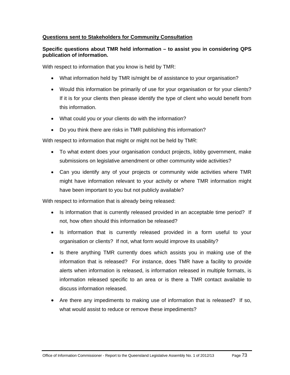## **Questions sent to Stakeholders for Community Consultation**

## **Specific questions about TMR held information – to assist you in considering QPS publication of information.**

With respect to information that you know is held by TMR:

- What information held by TMR is/might be of assistance to your organisation?
- Would this information be primarily of use for your organisation or for your clients? If it is for your clients then please identify the type of client who would benefit from this information.
- What could you or your clients do with the information?
- Do you think there are risks in TMR publishing this information?

With respect to information that might or might not be held by TMR:

- To what extent does your organisation conduct projects, lobby government, make submissions on legislative amendment or other community wide activities?
- Can you identify any of your projects or community wide activities where TMR might have information relevant to your activity or where TMR information might have been important to you but not publicly available?

With respect to information that is already being released:

- Is information that is currently released provided in an acceptable time period? If not, how often should this information be released?
- Is information that is currently released provided in a form useful to your organisation or clients? If not, what form would improve its usability?
- Is there anything TMR currently does which assists you in making use of the information that is released? For instance, does TMR have a facility to provide alerts when information is released, is information released in multiple formats, is information released specific to an area or is there a TMR contact available to discuss information released.
- Are there any impediments to making use of information that is released? If so, what would assist to reduce or remove these impediments?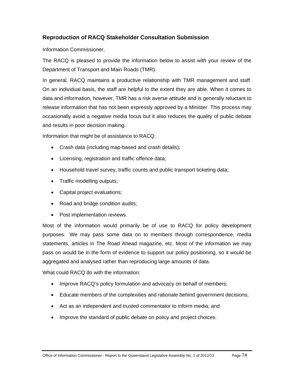## **Reproduction of RACQ Stakeholder Consultation Submission**

Information Commissioner,

The RACQ is pleased to provide the information below to assist with your review of the Department of Transport and Main Roads (TMR).

In general, RACQ maintains a productive relationship with TMR management and staff. On an individual basis, the staff are helpful to the extent they are able. When it comes to data and information, however, TMR has a risk averse attitude and is generally reluctant to release information that has not been expressly approved by a Minister. This process may occasionally avoid a negative media focus but it also reduces the quality of public debate and results in poor decision making.

Information that might be of assistance to RACQ:

- Crash data (including map-based and crash details);
- Licensing, registration and traffic offence data;
- Household travel survey, traffic counts and public transport ticketing data;
- Traffic modelling outputs;
- Capital project evaluations;
- Road and bridge condition audits;
- Post implementation reviews.

Most of the information would primarily be of use to RACQ for policy development purposes. We may pass some data on to members through correspondence, media statements, articles in The Road Ahead magazine, etc. Most of the information we may pass on would be in the form of evidence to support our policy positioning, so it would be aggregated and analysed rather than reproducing large amounts of data.

What could RACO do with the information:

- Improve RACQ's policy formulation and advocacy on behalf of members;
- Educate members of the complexities and rationale behind government decisions;
- Act as an independent and trusted commentator to inform media; and
- Improve the standard of public debate on policy and project choices.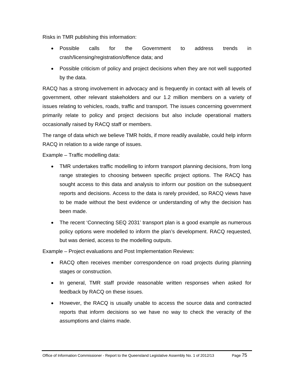Risks in TMR publishing this information:

- Possible calls for the Government to address trends in crash/licensing/registration/offence data; and
- Possible criticism of policy and project decisions when they are not well supported by the data.

RACQ has a strong involvement in advocacy and is frequently in contact with all levels of government, other relevant stakeholders and our 1.2 million members on a variety of issues relating to vehicles, roads, traffic and transport. The issues concerning government primarily relate to policy and project decisions but also include operational matters occasionally raised by RACQ staff or members.

The range of data which we believe TMR holds, if more readily available, could help inform RACQ in relation to a wide range of issues.

Example – Traffic modelling data:

- TMR undertakes traffic modelling to inform transport planning decisions, from long range strategies to choosing between specific project options. The RACQ has sought access to this data and analysis to inform our position on the subsequent reports and decisions. Access to the data is rarely provided, so RACQ views have to be made without the best evidence or understanding of why the decision has been made.
- The recent 'Connecting SEQ 2031' transport plan is a good example as numerous policy options were modelled to inform the plan's development. RACQ requested, but was denied, access to the modelling outputs.

Example – Project evaluations and Post Implementation Reviews:

- RACQ often receives member correspondence on road projects during planning stages or construction.
- In general, TMR staff provide reasonable written responses when asked for feedback by RACQ on these issues.
- However, the RACQ is usually unable to access the source data and contracted reports that inform decisions so we have no way to check the veracity of the assumptions and claims made.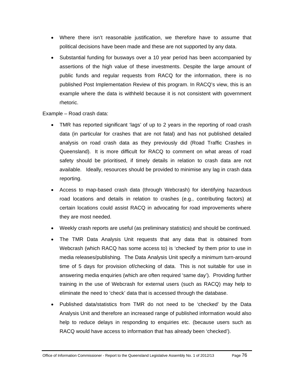- Where there isn't reasonable justification, we therefore have to assume that political decisions have been made and these are not supported by any data.
- Substantial funding for busways over a 10 year period has been accompanied by assertions of the high value of these investments. Despite the large amount of public funds and regular requests from RACQ for the information, there is no published Post Implementation Review of this program. In RACQ's view, this is an example where the data is withheld because it is not consistent with government rhetoric.

Example – Road crash data:

- TMR has reported significant 'lags' of up to 2 years in the reporting of road crash data (in particular for crashes that are not fatal) and has not published detailed analysis on road crash data as they previously did (Road Traffic Crashes in Queensland). It is more difficult for RACQ to comment on what areas of road safety should be prioritised, if timely details in relation to crash data are not available. Ideally, resources should be provided to minimise any lag in crash data reporting.
- Access to map-based crash data (through Webcrash) for identifying hazardous road locations and details in relation to crashes (e.g., contributing factors) at certain locations could assist RACQ in advocating for road improvements where they are most needed.
- Weekly crash reports are useful (as preliminary statistics) and should be continued.
- The TMR Data Analysis Unit requests that any data that is obtained from Webcrash (which RACQ has some access to) is 'checked' by them prior to use in media releases/publishing. The Data Analysis Unit specify a minimum turn-around time of 5 days for provision of/checking of data. This is not suitable for use in answering media enquiries (which are often required 'same day'). Providing further training in the use of Webcrash for external users (such as RACQ) may help to eliminate the need to 'check' data that is accessed through the database.
- Published data/statistics from TMR do not need to be 'checked' by the Data Analysis Unit and therefore an increased range of published information would also help to reduce delays in responding to enquiries etc. (because users such as RACQ would have access to information that has already been 'checked').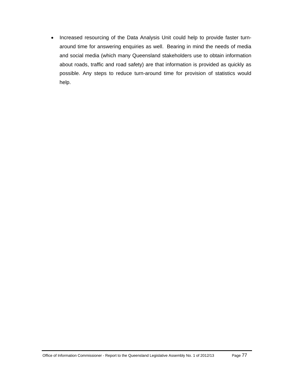• Increased resourcing of the Data Analysis Unit could help to provide faster turnaround time for answering enquiries as well. Bearing in mind the needs of media and social media (which many Queensland stakeholders use to obtain information about roads, traffic and road safety) are that information is provided as quickly as possible. Any steps to reduce turn-around time for provision of statistics would help.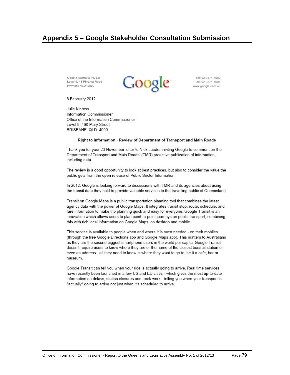# Appendix 5 - Google Stakeholder Consultation Submission

Google Australia Pty Ltd Level 5, 48 Pirrama Road Pyrmont NSW 2009



Tel: 02 9374-4000 Fax: 02 9374-4001 www.google.com.au

8 February 2012

**Julie Kinross** Information Commissioner Office of the Information Commissioner Level 8, 160 Mary Street BRISBANE QLD 4000

### Right to Information - Review of Department of Transport and Main Roads

Thank you for your 23 November letter to Nick Leeder inviting Google to comment on the Department of Transport and Main Roads' (TMR) proactive publication of information, including data.

The review is a good opportunity to look at best practices, but also to consider the value the public gets from the open release of Public Sector Information.

In 2012, Google is looking forward to discussions with TMR and its agencies about using the transit data they hold to provide valuable services to the travelling public of Queensland.

Transit on Google Maps is a public transportation planning tool that combines the latest agency data with the power of Google Maps. It integrates transit stop, route, schedule, and fare information to make trip planning quick and easy for everyone. Google Transit is an innovation which allows users to plan point-to-point journeys on public transport, combining this with rich local information on Google Maps, on desktop and mobile.

This service is available to people when and where it is most needed - on their mobiles (through the free Google Directions app and Google Maps app). This matters to Australians as they are the second biggest smartphone users in the world per capita. Google Transit doesn't require users to know where they are or the name of the closest bus/rail station or even an address - all they need to know is where they want to go to, be it a cafe, bar or museum.

Google Transit can tell you when your ride is actually going to arrive. Real time services have recently been launched in a few US and EU cities - which gives the most up-to-date information on delays, station closures and track work - telling you when your transport is \*actually\* going to arrive not just when it's scheduled to arrive.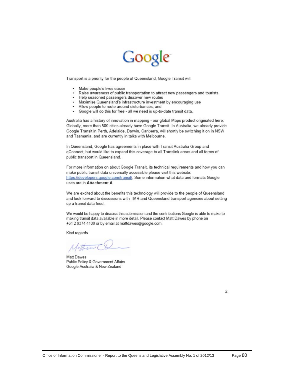# Google

Transport is a priority for the people of Queensland, Google Transit will:

- $\sim$ Make people's lives easier
- Raise awareness of public transportation to attract new passengers and tourists
- -2 Help seasoned passengers discover new routes
- Maximise Queensland's infrastructure investment by encouraging use
- $\sim$ Allow people to route around disturbances; and
- Google will do this for free all we need is up-to-date transit data.  $\bullet$

Australia has a history of innovation in mapping - our global Maps product originated here. Globally, more than 500 cities already have Google Transit. In Australia, we already provide Google Transit in Perth, Adelaide, Darwin, Canberra, will shortly be switching it on in NSW and Tasmania, and are currently in talks with Melbourne.

In Queensland, Google has agreements in place with Transit Australia Group and gConnect, but would like to expand this coverage to all Translink areas and all forms of public transport in Queensland.

For more information on about Google Transit, its technical requirements and how you can make public transit data universally accessible please visit this website: https://developers.google.com/transit/. Some information what data and formats Google uses are in Attachment A.

We are excited about the benefits this technology will provide to the people of Queensland and look forward to discussions with TMR and Queensland transport agencies about setting up a transit data feed.

We would be happy to discuss this submission and the contributions Google is able to make to making transit data available in more detail. Please contact Matt Dawes by phone on +61 2 9374 4108 or by email at mattdawes@google.com.

Kind regards

Mother (

Matt Dawes Public Policy & Government Affairs Google Australia & New Zealand

2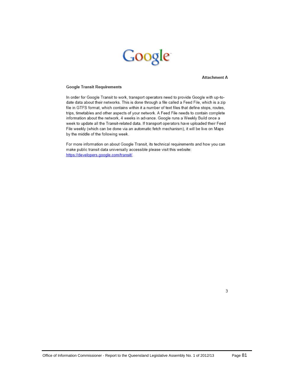

**Attachment A** 

### **Google Transit Requirements**

In order for Google Transit to work, transport operators need to provide Google with up-todate data about their networks. This is done through a file called a Feed File, which is a zip file in GTFS format, which contains within it a number of text files that define stops, routes, trips, timetables and other aspects of your network. A Feed File needs to contain complete information about the network, 4 weeks in advance. Google runs a Weekly Build once a week to update all the Transit-related data. If transport operators have uploaded their Feed File weekly (which can be done via an automatic fetch mechanism), it will be live on Maps by the middle of the following week.

For more information on about Google Transit, its technical requirements and how you can make public transit data universally accessible please visit this website: https://developers.google.com/transit/.

3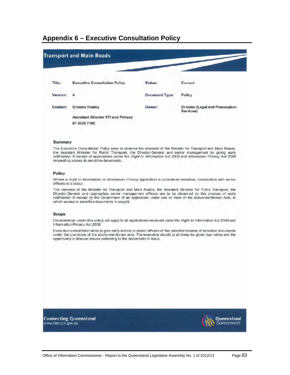# Appendix 6 - Executive Consultation Policy

|          | <b>Transport and Main Roads</b>                    |                       |                                              |
|----------|----------------------------------------------------|-----------------------|----------------------------------------------|
| Title:   | <b>Executive Consultation Policy</b>               | Status:               | Current                                      |
| Version: | 4                                                  | <b>Document Type:</b> | Policy                                       |
| Contact: | <b>Graeme Healey</b>                               | Owner:                | Director (Legal and Prosecution<br>Services) |
|          | Assistant Director RTI and Privacy<br>07 3306 7102 |                       |                                              |
|          |                                                    |                       |                                              |

### Summary

The Executve Consultation Policy aims to observe the interests of the Minister for Transport and Main Roads, the Assistant Minister for Public Transport, the Director-General and senior management by giving early notification of receipt of applications under the Right to Information Act 2009 and Information Privacy Act 2009 requesting access to sensitive documents.

#### Policy

Where a Right to Information or Information Privacy application is considered sensitive, consultation with senior officers is to occur.

The interests of the Minister for Transport and Main Roads, the Assistant Minister for Public Transport, the Director-General and appropriate senior management officers are to be observed by this process of early notification of receipt by the Department of an application under one or more of the above-mentioned Acts, in which access to sensitive documents in sought.

### Scope

Consideration under this policy will apply to all applications received under the Right to Information Act 2009 and Information Privacy Act 2009.

Executive consultation aims to give early advice to senior officers of the potential release of sensitive documents under the provisions of the above-mentioned acts. The executive should at all times be given due notice and the opportunity to discuss issues pertaining to the documents in issue.

**Connecting Queensland** www.tmr.qld.gov.au

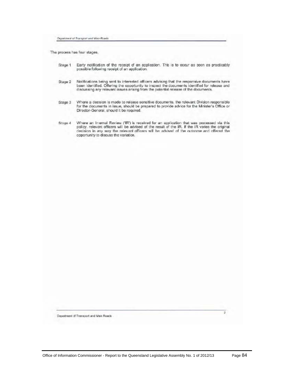Department of Transport and Main Roads

The process has four stages,

| Stage 1 | Early notification of the receipt of an application. This is to occur as soon as practicably |  |  |  |
|---------|----------------------------------------------------------------------------------------------|--|--|--|
|         | possible following receipt of an application.                                                |  |  |  |

- Notifications being sent to interested officers advising that the responsive documents have<br>been identified. Offering the opportunity to inspect the documents identified for release and<br>discussing any relevant issues arisi Stage 2
- Where a decision is made to release sensitive documents, the relevant Division responsible Stage 3 for the documents in issue, should be prepared to provide advice for the Minister's Office or Director-General, should it be required.
- Where an Internal Review ('IR') is received for an application that was processed via this policy, relevant officers will be advised of the result of the IR. If the IR varies the original decision in any way the relevant o Stage 4 opportunity to discuss the variation.

Department of Transport and Main Roads

 $\overline{2}$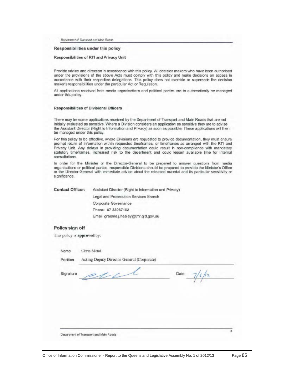Department of Transport and Main Roads

### Responsibilities under this policy

### Responsibilities of RTI and Privacy Unit

Provide advice and direction in accordance with this policy. All decision makers who have been authorised under the provisions of the above Acts must comply with this policy and make decisions on access in accordance with their respective delegations. This policy does not override or supersede the decision maker's responsibilities under the particular Act or Regulation.

All applications received from media organisations and political parties are to automatically be managed under this policy.

### Responsibilities of Divisional Officers

There may be some applications received by the Department of Transport and Main Roads that are not initially evaluated as sensitive. Where a Division considers an application as sensitive they are to advise the Assistant Director (Right to Information and Privacy) as soon as possible. These applications will then be managed under this policy.

For this policy to be effective, where Divisions are requested to provide documentation, they must ensure prompt return of information within requested timeframes, or timeframes as arranged with the RTI and Privacy Unit. Any delays in providing documertation could result in non-compliance with mandatory statutory timeframes, increased risk to the department and could lessen available time for internal consultations

In order for the Minister or the Director-General to be prepared to answer questions from media organisations or political parties, responsible Divisions should be prepared to provide the Minister's Office or the Director-General with immediate advice about the released material and its particular sensitivity or significance.

Contact Officer: Assistant Director (Right to Information and Privacy) Legal and Prosecution Services Branch Corporate Governance Phone: 07 33067102 Email graeme.j.healey@tmr.qld.gov.au

### Policy sign off

This policy is approved by:

Name Chris Mead

Position

Acting Deputy Director-General (Corporate)

11

Signature

Date  $1/2$ 

Department of Transport and Mein Roads

ä